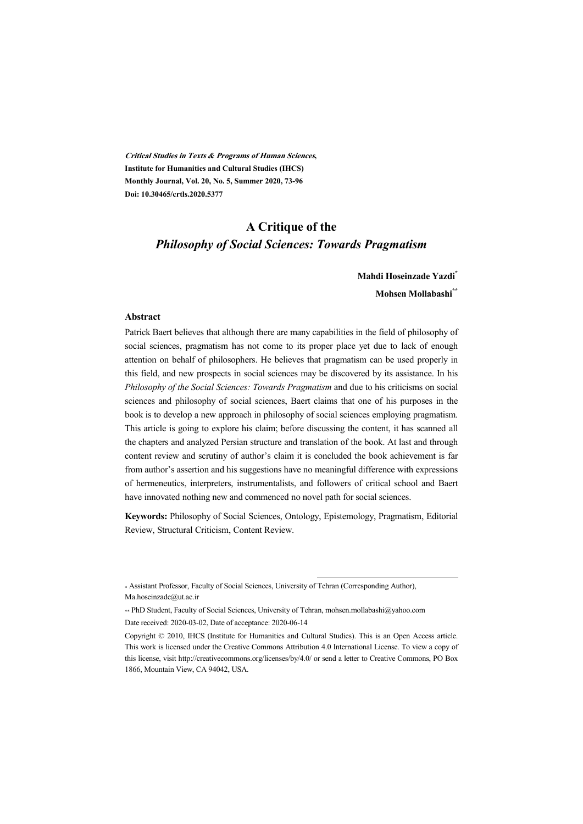**Critical Studies in Texts & Programs of Human Sciences, Institute for Humanities and Cultural Studies (IHCS) Monthly Journal, Vol. 20, No. 5, Summer 2020, 73-96 Doi: 10.30465/crtls.2020.5377** 

## **A Critique of the**  *Philosophy of Social Sciences: Towards Pragmatism*

### **Mahdi Hoseinzade Yazdi\* Mohsen Mollabashi\*\***

#### **Abstract**

Patrick Baert believes that although there are many capabilities in the field of philosophy of social sciences, pragmatism has not come to its proper place yet due to lack of enough attention on behalf of philosophers. He believes that pragmatism can be used properly in this field, and new prospects in social sciences may be discovered by its assistance. In his *Philosophy of the Social Sciences: Towards Pragmatism* and due to his criticisms on social sciences and philosophy of social sciences, Baert claims that one of his purposes in the book is to develop a new approach in philosophy of social sciences employing pragmatism. This article is going to explore his claim; before discussing the content, it has scanned all the chapters and analyzed Persian structure and translation of the book. At last and through content review and scrutiny of author's claim it is concluded the book achievement is far from author's assertion and his suggestions have no meaningful difference with expressions of hermeneutics, interpreters, instrumentalists, and followers of critical school and Baert have innovated nothing new and commenced no novel path for social sciences.

**Keywords:** Philosophy of Social Sciences, Ontology, Epistemology, Pragmatism, Editorial Review, Structural Criticism, Content Review.

:

<sup>\*</sup> Assistant Professor, Faculty of Social Sciences, University of Tehran (Corresponding Author), Ma.hoseinzade@ut.ac.ir

<sup>\*\*</sup> PhD Student, Faculty of Social Sciences, University of Tehran, mohsen.mollabashi@yahoo.com Date received: 2020-03-02, Date of acceptance: 2020-06-14

Copyright © 2010, IHCS (Institute for Humanities and Cultural Studies). This is an Open Access article. This work is licensed under the Creative Commons Attribution 4.0 International License. To view a copy of this license, visit http://creativecommons.org/licenses/by/4.0/ or send a letter to Creative Commons, PO Box 1866, Mountain View, CA 94042, USA.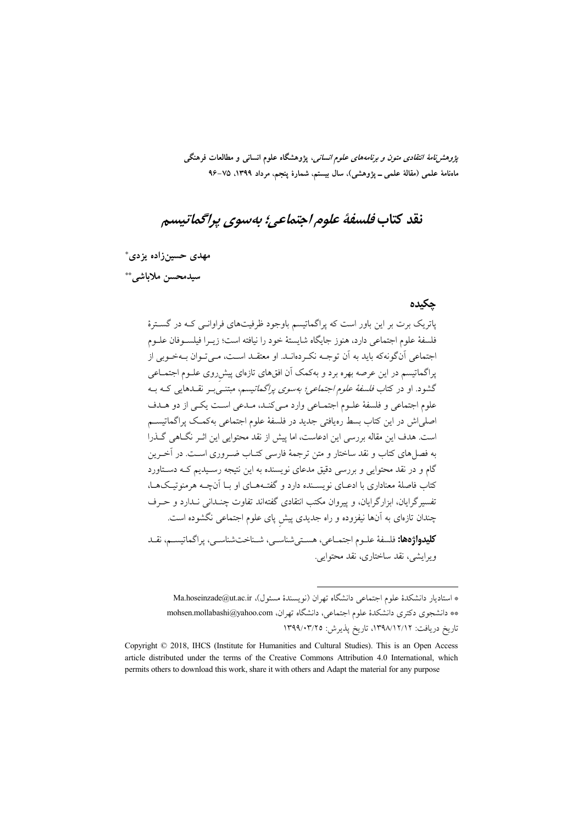*پژوهشنامهٔ انتقادی متون و برنامههای علوم انسانی*، پژوهشگاه علوم انسانی و مطالعات فرهنگی ماەنامۀ علمی (مقالۀ علمی ــ پژوهشی)، سال بیستم، شمارۀ پنجم، مرداد ١٣٩٩، ٧٥–٩۶

# نقد كتاب فلسفة علوم احتماعي؛ بەسوي پراگماتىسم

مهدی حسینزاده یزدی\*

سيدمحسن ملاباشي. \*\*

#### جكيده

یاتریک برت بر این باور است که پراگماتیسم باوجود ظرفیتهای فراوانـی کـه در گسـترهٔ فلسفهٔ علوم اجتماعی دارد، هنوز جایگاه شایستهٔ خود را نیافته است؛ زیبرا فیلسبوفان علبوم اجتماعي أنگونهكه بايد به أن توجـه نكـردهانـد. او معتقـد اسـت، مـي تـوان بـهخـوبي از پراگماتیسم در این عرصه بهره برد و بهکمک آن افقهای تازهای پیشرروی علــوم اجتمــاعی گشود. او در کتاب *فلسفهٔ علوم اجتماعی؛ بهسوی پراگماتیسم*، مبتنـی بـر نقــدهایی کــه بــه علوم اجتماعي و فلسفة علـوم اجتمـاعي وارد مـيكنـد، مـدعي اسـت يكـي از دو هـدف اصلی اش در این کتاب بسط رهیافتی جدید در فلسفهٔ علوم اجتماعی بهکمک پراگماتیســم است. هدف این مقاله بررسی این ادعاست، اما پیش از نقد محتوایی این اثـر نگـاهی گـذرا به فصل های کتاب و نقد ساختار و متن ترجمهٔ فارسی کتـاب ضـروری اسـت. در آخـرین گام و در نقد محتوایی و بررسی دقیق مدعای نویسنده به این نتیجه رسـیدیم کـه دسـتاورد کتاب فاصلهٔ معناداری با ادعــای نویســنده دارد و گفتــهــای او بــا آنچــه هرمنوتیــکـهــا، تفسیر گرایان، ابزارگرایان، و پیروان مکتب انتقادی گفتهاند تفاوت چنـدانی نـدارد و حـرف چندان تازهای به آنها نیفزوده و راه جدیدی پیش پای علوم اجتماعی نگشوده است. **كليدواژهها:** فلسفهٔ علـوم اجتمــاعي، هسـتي شناســي، شــناختشناســي، يراگماتيســم، نقــد

ويرايشي، نقد ساختاري، نقد محتوايي.

\* استادیار دانشکدهٔ علوم اجتماعی دانشگاه تهران (نویسندهٔ مسئول)، Ma.hoseinzade@ut.ac.ir \*\* دانشجوی دکتری دانشکدهٔ علوم اجتماعی، دانشگاه تهران، mohsen.mollabashi@yahoo.com تاريخ دريافت: ١٣٩٨/١٢/١٢، تاريخ پذيرش: ١٣٩٩/٠٣/٢٥

Copyright © 2018, IHCS (Institute for Humanities and Cultural Studies). This is an Open Access article distributed under the terms of the Creative Commons Attribution 4.0 International, which permits others to download this work, share it with others and Adapt the material for any purpose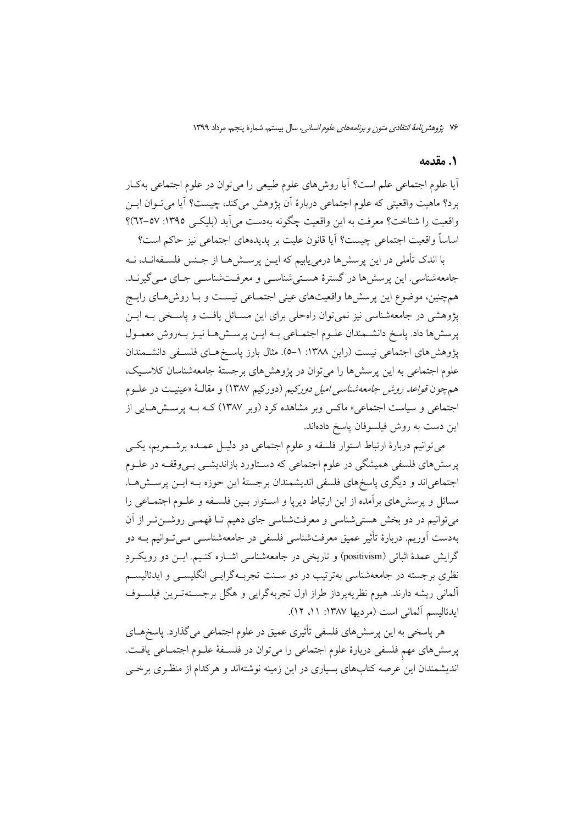#### 1. مقدمه

أيا علوم اجتماعي علم است؟ أيا روشهاي علوم طبيعي را مي توان در علوم اجتماعي بهكـار برد؟ ماهيت واقعيتي كه علوم اجتماعي دربارهٔ اَن پژوهش ميكند، چيست؟ اَيا مي تـوان ايــن واقعیت را شناخت؟ معرفت به این واقعیت چگونه بهدست می آید (بلیکـی ١٣٩٥: ٥٧-٩٢)؟ اساساً واقعیت اجتماعی چیست؟ آیا قانون علیت بر یدیدههای اجتماعی نیز حاکم است؟

با اندک تأملی در این پرسش ها درمی پابیم که ایــن پرســش۵هــا از جــنس فلســفهانــد، نــه جامعهشناسی. این پرسشها در گسترهٔ هستیشناسـی و معرفـتشناسـی جـای مـی گیرنـد. همچنین، موضوع این پرسشها واقعیتهای عینی اجتمـاعی نیسـت و بـا روشهـای رایـج پژوهشی در جامعهشناسی نیز نمی توان راهحلی برای این مسـائل یافـت و پاسـخی بـه ایـن پرسشها داد. پاسخ دانشمندان علـوم اجتمـاعي بـه ايـن پرسـشهـا نيـز بـهروش معمـول پژوهش های اجتماعی نیست (راین ۱۳۸۸: ۱–۵). مثال بارز پاسـخهـای فلسـفی دانشــمندان علوم اجتماعی به این پرسش ها را می توان در پژوهش های برجستهٔ جامعهشناسان کلاسیک، همچون *قواعد روش جامعه شناسی امیل دورکیم* (دورکیم ۱۳۸۷) و مقالـهٔ «عینیـت در علــوم اجتماعی و سیاست اجتماعی» ماکس وبر مشاهده کرد (وبر ۱۳۸۷) کـه بـه پرسـش۵هـایی از اين دست به روش فيلسوفان ياسخ دادهاند.

مي توانيم دربارهٔ ارتباط استوار فلسفه و علوم اجتماعي دو دليـل عمــده برشــمريـم، يكــي پرسشهای فلسفی همیشگی در علوم اجتماعی که دسـتاورد بازاندیشــی بــیوقفــه در علــوم اجتماعیاند و دیگری پاسخهای فلسفی اندیشمندان برجستهٔ این حوزه بـه ایـن پرسـشهـا. مسائل و پرسش۵مای بر آمده از این ارتباط دیریا و اسـتوار بـین فلسـفه و علـوم اجتمـاعی را می توانیم در دو بخش هستی شناسی و معرفتشناسی جای دهیم تــا فهمــی روشـــن تــر از آن بهدست آوریم. دربارهٔ تأثیر عمیق معرفتشناسی فلسفی در جامعهشناســی مــی تــوانیم بــه دو گرایش عمدهٔ اثباتی (positivism) و تاریخی در جامعهشناسی اشـاره کنـیم. ایــن دو رویکــردِ نظری برجسته در جامعهشناسی بهترتیب در دو سـنت تجربـهگرایــی انگلیســی و ایدئالیســم آلماني ريشه دارند. هيوم نظريه يرداز طراز اول تجربه گرايي و هگل برجسـتهتـرين فيلســوف ايدئاليسم آلماني است (مرديها ١٣٨٧: ١١، ١٢).

هر پاسخی به این پرسش،های فلسفی تأثیری عمیق در علوم اجتماعی می گذارد. پاسخ هـای پرسشهای مهم فلسفی دربارهٔ علوم اجتماعی را میتوان در فلسـفهٔ علـوم اجتمـاعی یافـت. اندیشمندان این عرصه کتابهای بسیاری در این زمینه نوشتهاند و هرکدام از منظری برخی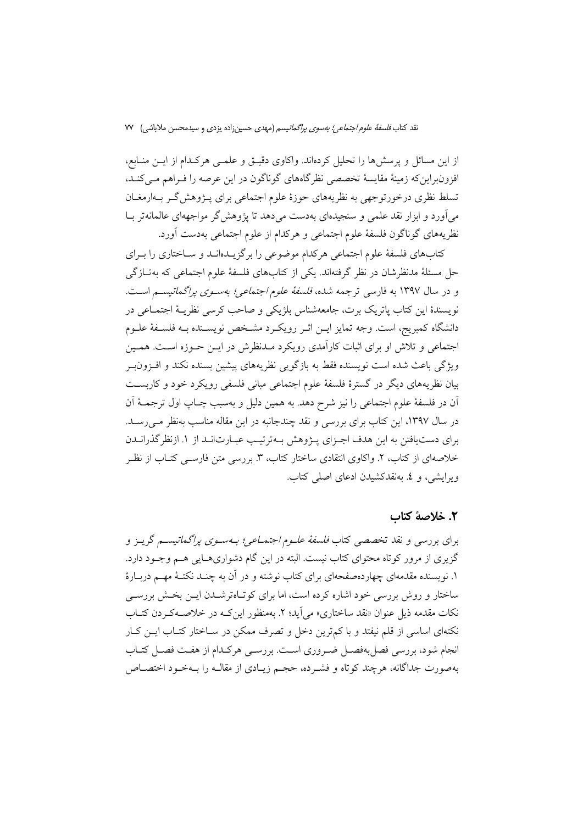نقد کتاب *فلسفة علوم اجتماعي؛ بەسوى پراگماتيسم* (مهدى حسين;زاده يزدى و سيدمحسن ملاباشي) W

از این مسائل و پرسش ها را تحلیل کردهاند. واکاوی دقیـق و علمـی هرکـدام از ایــن منــابع، افزونبراین که زمینهٔ مقایسهٔ تخصصی نظرگاههای گوناگون در این عرصه را فـراهم مـیکنـد، تسلط نظری درخورتوجهی به نظریههای حوزهٔ علوم اجتماعی برای پــژوهش گــر بــهارمغــان می آورد و ابزار نقد علمی و سنجیدهای بهدست می دهد تا پژوهش گر مواجههای عالمانهتر بـا نظريههاي گوناگون فلسفهٔ علوم اجتماعي و هرکدام از علوم اجتماعي بهدست آورد.

کتابهای فلسفهٔ علوم اجتماعی هرکدام موضوعی را برگزیـدهانـد و سـاختاری را بـرای حل مسئلهٔ مدنظرشان در نظر گرفتهاند. یکی از کتابهای فلسفهٔ علوم اجتماعی که بهتـازگی و در سال ۱۳۹۷ به فارسی ترجمه شده، *فلسفهٔ علوم اجتماعی؛ بهسـوی پراگماتیسـم* اسـت. نويسندهٔ اين كتاب ياتريک برت، جامعهشناس بلژيكي و صاحب كرسي نظريــهٔ اجتمــاعي در دانشگاه کمبريج، است. وجه تمايز ايــن اثــر رويکــرد مشــخص نويســنده بــه فلســفهٔ علــوم اجتماعی و تلاش او برای اثبات کارآمدی رویکرد مـدنظرش در ایــن حــوزه اسـت. همــین ویژگی باعث شده است نویسنده فقط به بازگویی نظریههای پیشین بسنده نکند و افـزونiبـر بیان نظریههای دیگر در گسترهٔ فلسفهٔ علوم اجتماعی مبانی فلسفی رویکرد خود و کاربسـت آن در فلسفهٔ علوم اجتماعی را نیز شرح دهد. به همین دلیل و بهسبب چـاپ اول ترجمــهٔ آن در سال ۱۳۹۷، این کتاب برای بررسی و نقد چندجانبه در این مقاله مناسب بهنظر مـی(سـد. برای دست یافتن به این هدف اجـزای پـژوهش بـهترتیـب عبـارتانـد از ۱. ازنظر گذرانـدن خلاصهای از کتاب، ۲. واکاوی انتقادی ساختار کتاب، ۳. بررسی متن فارســی کتــاب از نظــر ویرایشی، و ٤. بهنقدکشیدن ادعای اصلی کتاب.

### ٢. خلاصة كتاب

برای بررسی و نقد تخصصی کتاب *فلسفهٔ علیوم اجتمـاعی؛ بـهسـوی پراگماتیس*ـم گریـز و گزیری از مرور کوتاه محتوای کتاب نیست. البته در این گام دشواریهـایی هــم وجــود دارد. ۱. نویسنده مقدمهای چهاردهصفحهای برای کتاب نوشته و در آن به چنـد نکتـهٔ مهـم دربـارهٔ ساختار و روش بررسی خود اشاره کرده است، اما برای کوتـاهترشــدن ایــن بخـش بررســی نکات مقدمه ذیل عنوان «نقد ساختاری» می اَید؛ ۲. بهمنظور این کـه در خلاصــهکـردن کتــاب نکتهای اساسی از قلم نیفتد و با کم ترین دخل و تصرف ممکن در سـاختار کتـاب ایــن کــار انجام شود، بررسی فصل بهفصـل ضـروری اسـت. بررسـی هرکـدام از هفـت فصـل کتـاب بهصورت جداگانه، هرچند کوتاه و فشـرده، حجـم زيـادي از مقالـه را بــهخـود اختصــاص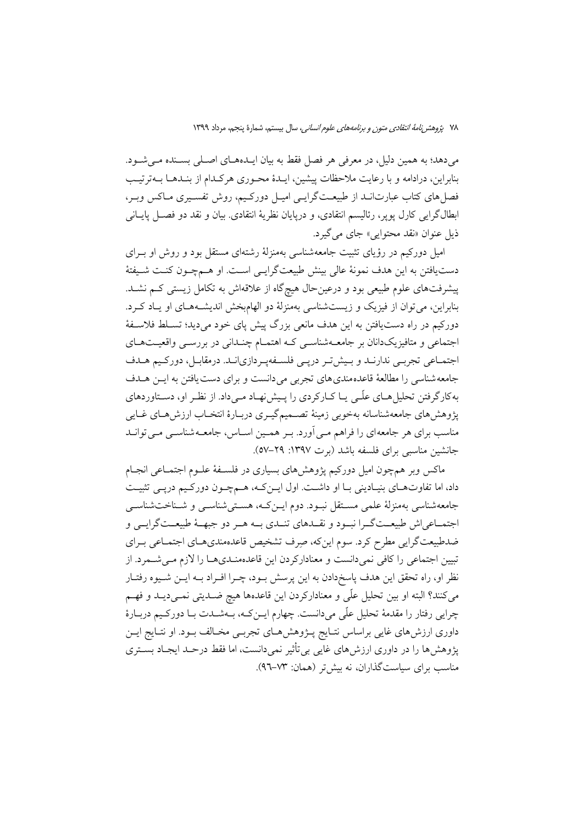می دهد؛ به همین دلیل، در معرفی هر فصل فقط به بیان ایـدههـای اصـلی بسـنده مـی شـود. بنابراين، درادامه و با رعايت ملاحظات پيشين، ايـدۀ محـوري هركـدام از بنـدهـا بــهترتيـب فصل های کتاب عبارتانــد از طبیعــتگرایــی امیــل دورکــیم، روش تفســیری مــاکس وبــر، ابطالگرایی کارل پوپر، رئالیسم انتقادی، و درپایان نظریهٔ انتقادی. بیان و نقد دو فصـل پایـانی ذيل عنوان «نقد محتوايي» جاي مي گيرد.

امیل دورکیم در رؤیای تثبیت جامعهشناسی بهمنزلهٔ رشتهای مستقل بود و روش او بـرای دست یافتن به این هدف نمونهٔ عالی بینش طبیعتگرایسی است. او هـمچـون کنـت شـیفتهٔ پیشرفتهای علوم طبیعی بود و درعینحال هیچگاه از علاقهاش به تکامل زیستی کـم نشـد. بنابراین، می توان از فیزیک و زیستشناسی بهمنزلهٔ دو الهامبخش اندیشـههـای او پـاد کـرد. دورکیم در راه دستیافتن به این هدف مانعی بزرگ پیش پای خود میدید؛ تسـلط فلاسـفهٔ اجتماعی و متافیزیکدانان بر جامعــهشناســی کــه اهتمــام چنــدانی در بررســی واقعیــتهــای اجتمـاعي تجربـي ندارنـد و بـيش تـر دريـي فلسـفهيـردازيانـد. درمقابـل، دوركـيم هـدف جامعه شناسی را مطالعهٔ قاعده مندی های تجربی می دانست و برای دست یافتن به ایـن هـدف به کارگر فتن تحلیل هـای علّـی یـا کـارکردی را پـیش نهـاد مـی داد. از نظـر او، دسـتاوردهای يژوهش هاي جامعهشناسانه بهخوبي زمينهٔ تصـميمگيـري دربـارهٔ انتخـاب ارزش هـاي غـايي مناسب برای هر جامعهای را فراهم مـی آورد. بـر همـین اسـاس، جامعـهشناسـی مـی توانـد جانشین مناسبی برای فلسفه باشد (برت ۱۳۹۷: ۲۹–۵۷).

ماکس وبر همچون امیل دورکیم پژوهشهای بسیاری در فلسـفهٔ علـوم اجتمـاعی انجـام داد، اما تفاوتهای بنیادینی بـا او داشـت. اول ایـن کـه، هـمچـون دورکـیم درپـی تثبیـت جامعهشناسی بهمنزلهٔ علمی مستقل نبود. دوم ایـنکـه، هسـتیشناسـی و شـناختشناسـی اجتمــاعي اش طبيعــتگــرا نبــود و نقــدهاي تنــدي بــه هــر دو جبهــهٔ طبيعــتگرايــي و ضدطبیعت گرایی مطرح کرد. سوم اینکه، صِرف تشخیص قاعدهمندیهـای اجتمـاعی بـرای تبیین اجتماعی را کافی نمیدانست و معنادارکردن این قاعدهمنـدیهـا را لازم مـیشـمرد. از نظر او، راه تحقق این هدف پاسخدادن به این پرسش بـود، چـرا افـراد بــه ایــن شــیوه رفتــار میکنند؟ البته او بین تحلیل علّمی و معنادارکردن این قاعدهها هیچ ضـدیتی نمـیدیـد و فهـم چرایی رفتار را مقدمهٔ تحلیل علّی میدانست. چهارم ایــنکـه، بــهشــدت بــا دورکــیم دربــارهٔ داوری ارزشهای غایی براساس نتـایج پـژوهشهـای تجربـی مخـالف بـود. او نتـایج ایـن یژوهش ها را در داوری ارزش های غایبی بی تأثیر نمی دانست، اما فقط درحـد ایجـاد بســتری مناسب برای سیاستگذاران، نه بیش تر (همان: ۷۳–۹٦).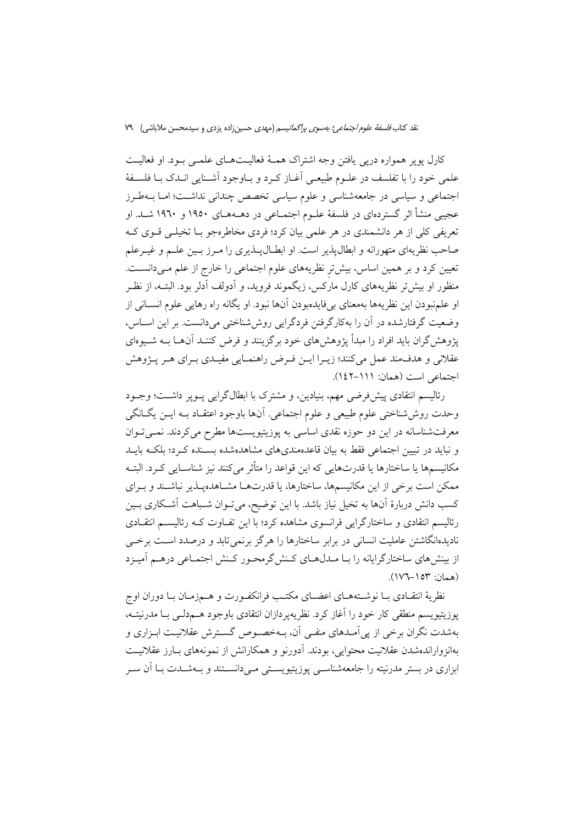کارل پویر همواره دریی یافتن وجه اشتراک همـهٔ فعالیـتهـای علمـی بـود. او فعالیـت علمي خود را با تفلسف در علـوم طبيعـي أغــاز كــرد و بــاوجود أشــنايي انــدك بــا فلســفهٔ اجتماعی و سیاسی در جامعهشناسی و علوم سیاسی تخصص چندانی نداشت؛ امـا بــهطـرز عجیبی منشأ اثر گستردهای در فلسفهٔ علـوم اجتمـاعی در دهــههـای ۱۹۵۰ و ۱۹٦۰ شــد. او تعریفی کلی از هر دانشمندی در هر علمی بیان کرد؛ فردی مخاطرهجو بــا تخیلــی قــوی کــه صاحب نظریهای متهورانه و ابطالپذیر است. او ابطـالپـذیری را مـرز بـین علـم و غیـرعلم تعیین کرد و بر همین اساس، بیش تر نظریههای علوم اجتماعی را خارج از علم مـیدانسـت. منظور او بیش تر نظریههای کارل مارَکس، زیگموند فروید، و اَدولف اَدلر بود. البتــه، از نظــر او علمنبودن اين نظريهها بهمعناي بي فايدهبودن آنها نبود. او يگانه راه رهايي علوم انســاني از وضعیت گرفتارشده در آن را بهکارگرفتن فردگرایی روششناختی میدانست. بر این اسـاس، یژوهش گران باید افراد را مبدأ پژوهشهای خود برگزینند و فرض کننـد آنهــا بــه شــیوهای عقلانی و هدف مند عمل میکنند؛ زیـرا ایـن فـرض راهنمـایی مفیـدی بـرای هـر پـژوهش اجتماعی است (همان: ١١١-١٤٢).

رئالیسم انتقادی پیشفررضی مهم، بنیادین، و مشترک با ابطالگرایی پــوپر داشــت؛ وجــود وحدت روششاختی علوم طبیعی و علوم اجتماعی. أنها باوجود اعتقـاد بـه ایــن یگــانگی معرفتشناسانه در این دو حوزه نقدی اساسی به پوزیتیویستها مطرح میکردند. نمــیتــوان و نباید در تبیین اجتماعی فقط به بیان قاعدهمندیهای مشاهدهشده بسـنده کـرد؛ بلکـه بایـد مكانيسمها يا ساختارها يا قدرتهايي كه اين قواعد را متأثر ميكنند نيز شناسـايي كـرد. البتــه ممکن است برخی از این مکانیسمها، ساختارها، یا قدرتهـا مشـاهدهیـذیر نباشـند و بـرای کسب دانش دربارهٔ آنها به تخیل نیاز باشد. با این توضیح، میتوان شـباهت آشـکاری بـین رئالیسم انتقادی و ساختارگرایی فرانسوی مشاهده کرد؛ با این تفـاوت کــه رئالیســم انتقــادی نادیدهانگاشتن عاملیت انسانی در برابر ساختارها را هرگز برنمی تابد و درصدد است برخی از بینش های ساختارگرایانه را بـا مـدلهـای کـنش گرمحـور کـنش اجتمـاعی درهـم آمیـزد (همان: ١٥٣–١٧٦).

نظريهٔ انتقـادي بـا نوشــتههـاي اعضـاي مكتـب فرانكفـورت و هـمزمـان بـا دوران اوج يوزيتيويسم منطقى كار خود را آغاز كرد. نظريهيردازان انتقادى باوجود هــمدلــي بــا مدرنيتــه، بهشدت نگران برخی از پی آمــدهای منفــی آن، بــهخصــوص گســترش عقلانیــت ابــزاری و بهانزواراندهشدن عقلانيت محتوايي، بودند. آدورنو و همكارانش از نمونههاى بـارز عقلانيـت ابزاري در بستر مدرنيته را جامعهشناسبي يوزيتيويســتي مــي(دانســتند و بــهشــدت بــا اَن ســر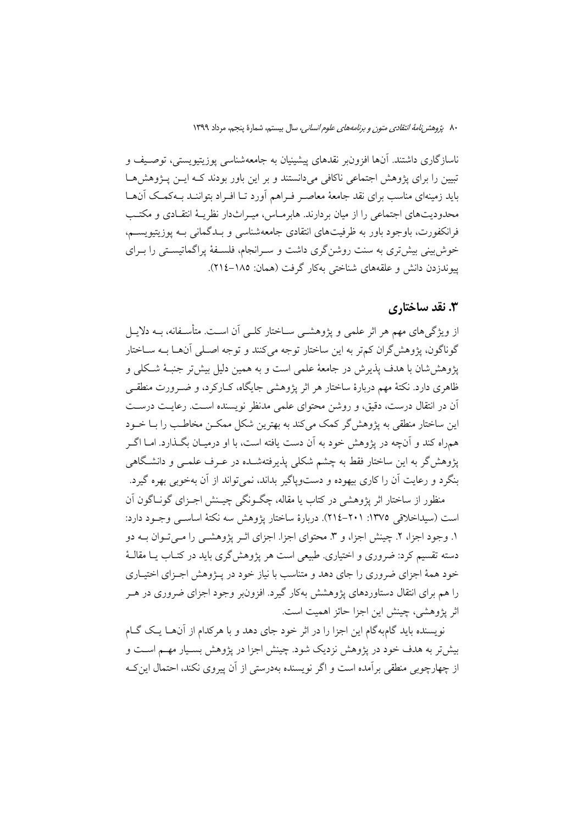ناسازگاری داشتند. آنها افزونبر نقدهای پیشینیان به جامعهشناسی پوزیتیویستی، توصـیف و تبیین را برای پژوهش اجتماعی ناکافی میدانستند و بر این باور بودند کـه ایــن پــژوهش هــا باید زمینهای مناسب برای نقد جامعهٔ معاصـر فـراهم آورد تـا افـراد بتواننــد بــهکمــک آن@ــا محدودیتهای اجتماعی را از میان بردارند. هابرماس، میـراثدار نظریـهٔ انتقـادی و مکتـب فرانکفورت، باوجود باور به ظرفیتهای انتقادی جامعهشناسی و بـدگمانی بـه یوزیتیویســم، خوش بینی بیش تری به سنت روشن گری داشت و سـرانجام، فلسـفهٔ پراگماتیسـتی را بـرای ييوندزدن دانش و علقههاي شناختي بهكار گرفت (همان: ١٨٥–٢١٤).

## ۳. نقد ساختاری

از ویژگیهای مهم هر اثر علمی و پژوهشــی ســاختار کلــی اَن اســت. متأســفانه، بــه دلایــل گوناگون، پژوهش\$ران کم,تر به این ساختار توجه میکنند و توجه اصـلی آنهـا بــه ســاختار يژوهش شان با هدف پذيرش در جامعهٔ علمي است و به همين دليل بيش تر جنبـهٔ شـكلي و ظاهری دارد. نکتهٔ مهم دربارهٔ ساختار هر اثر یژوهشی جایگاه، کــارکرد، و ضــرورت منطقــی آن در انتقال درست، دقیق، و روشن محتوای علمی مدنظر نویسنده است. رعایت درست این ساختار منطقی به پژوهش گر کمک می کند به بهترین شکل ممکن مخاطب را بیا خیود همراه کند و آنچه در پژوهش خود به آن دست یافته است، با او درمیـان بگـذارد. امــا اگــر پژوهشگر به این ساختار فقط به چشم شکل<sub>ی</sub> پذیرفتهشـده در عـرف علمــی و دانشـگاهی بنگرد و رعایت آن را کاری بیهوده و دستوپاگیر بداند، نمی تواند از آن بهخوبی بهره گیرد.

منظور از ساختار اثر پژوهشی در کتاب یا مقاله، چگـونگی چیـنش اجـزای گونـاگون آن است (سيداخلاقي ١٣٧٥: ٢٠١-٢١٤). دربارة ساختار يژوهش سه نكتهٔ اساسـي وجـود دارد: ۱. وجود اجزا، ۲. چینش اجزا، و ۳. محتوای اجزا. اجزای اثـر پژوهشــی را مــی تـوان بــه دو دسته تقسیم کرد: ضروری و اختیاری. طبیعی است هر پژوهش گری باید در کتــاب یــا مقالــهٔ خود همهٔ اجزای ضروری را جای دهد و متناسب با نیاز خود در پـژوهش اجـزای اختیـاری را هم برای انتقال دستاوردهای پژوهشش بهکار گیرد. افزون بر وجود اجزای ضروری در هـر اثر يژوهشي، چينش اين اجزا حائز اهميت است.

نویسنده باید گامبهگام این اجزا را در اثر خود جای دهد و با هرکدام از آنهـا یـک گـام بیش تر به هدف خود در یژوهش نزدیک شود. چینش اجزا در یژوهش بسـیار مهــم اســت و از چهارچوبی منطقی بر آمده است و اگر نویسنده بهدرستی از آن پیروی نکند، احتمال این ک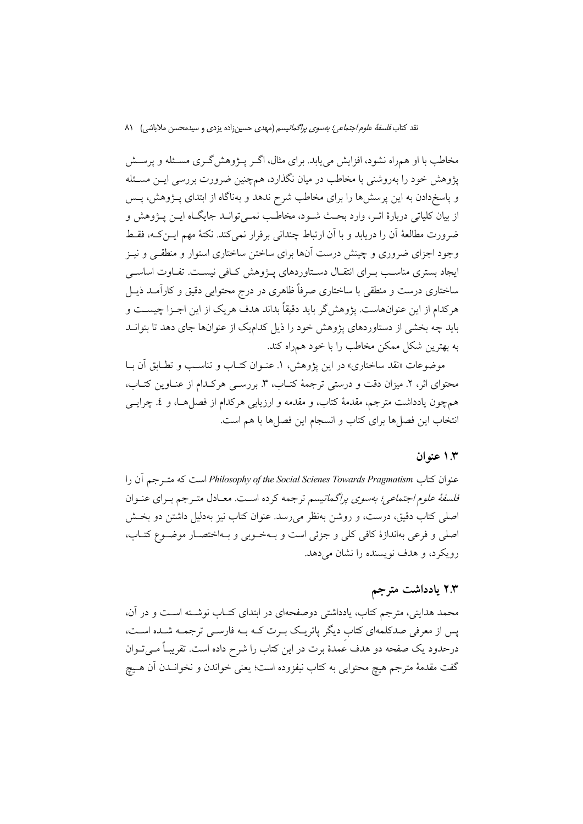مخاطب با او همراه نشود، افزایش می یابد. برای مثال، اگــر پــژوهش گــری مســئله و پرســش پژوهش خود را بهروشنی با مخاطب در میان نگذارد، همچنین ضرورت بررسی ایــن مسـئله و پاسخدادن به این پرسشها را برای مخاطب شرح ندهد و بهناگاه از ابتدای پــژوهش، پــس از بيان كلياتي دربارهٔ اثـر، وارد بحـث شـود، مخاطـب نمـي توانـد جايگـاه ايـن پـژوهش و ضرورت مطالعهٔ أن را دریابد و با أن ارتباط چندانی برقرار نمی کند. نکتهٔ مهم ایــن کــه، فقــط وجود اجزای ضروری و چینش درست آنها برای ساختن ساختاری استوار و منطقـی و نیـز ایجاد بستری مناسب بـرای انتقـال دسـتاوردهای پــژوهش کــافی نیســت. تفــاوت اساســی ساختاری درست و منطقی با ساختاری صرفاً ظاهری در درج محتوایی دقیق و کارآمـد ذیــل هرکدام از این عنوانهاست. پژوهشگر باید دقیقاً بداند هدف هریک از این اجـزا چیســت و باید چه بخشی از دستاوردهای پژوهش خود را ذیل کدامیک از عنوانها جای دهد تا بتوانـد به بهترین شکل ممکن مخاطب را با خود همراه کند.

موضوعات «نقد ساختاری» در این پژوهش، ۱. عنـوان کتـاب و تناسـب و تطـابق آن بـا محتواي اثر، ٢. ميزان دقت و درستي ترجمهٔ كتـاب، ٣. بررسـي هركـدام از عنـاوين كتـاب، همچون یادداشت مترجم، مقدمهٔ کتاب، و مقدمه و ارزیابی هرکدام از فصل هـا، و ٤. چرایـی انتخاب این فصلها برای کتاب و انسجام این فصلها با هم است.

#### ١.٣ عنه ان

عنوان كتاب Philosophy of the Social Scienes Towards Pragmatism است كه متـرجم أن را فلسفهٔ علوم اجتماعی؛ بهسوی پراگماتیسم ترجمه کرده است. معـادل متـرجم بـرای عنـوان اصلي کتاب دقيق، درست، و روشن بهنظر مي رسد. عنوان کتاب نيز بهدليل داشتن دو بخــش اصلي و فرعي بهاندازهٔ کافي کلي و جزئي است و بـهخـوبي و بـهاختصـار موضـوع کتـاب، رویکرد، و هدف نویسنده را نشان می دهد.

### ۲.۳ یادداشت مترجم

محمد هدایتی، مترجم کتاب، یادداشتی دوصفحهای در ابتدای کتـاب نوشـته اسـت و در آن، پس از معرفی صدکلمهای کتاب دیگر پاتریک بـرت کـه بـه فارسـی ترجمـه شـده اسـت، درحدود یک صفحه دو هدف عمدهٔ برت در این کتاب را شرح داده است. تقریبـاً مــیتــوان گفت مقدمهٔ مترجم هیچ محتوایی به کتاب نیفزوده است؛ یعنی خواندن و نخوانــدن اَن هــیچ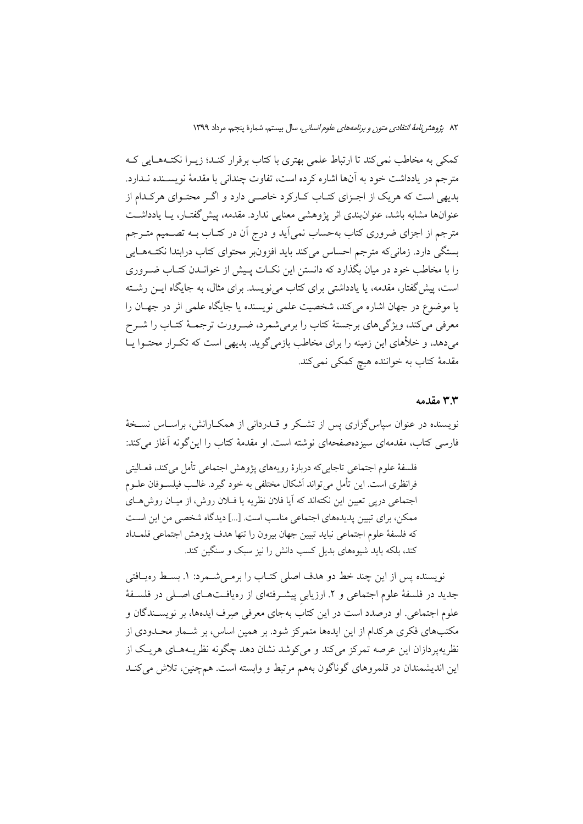٨٢ يُرْوِهش *نامة انتقادى متون و برنامههاى علوم انسانى،* سال بيستم، شمارة ينجم، مرداد ١٣٩٩

كمكي به مخاطب نمي كند تا ارتباط علمي بهتري با كتاب برقرار كنـد؛ زيـرا نكتـههـايي كـه مترجم در يادداشت خود به آنها اشاره كرده است، تفاوت چندانی با مقدمهٔ نویســنده نــدارد. بدیهی است که هریک از اجـزای کتـاب کـارکرد خاصـی دارد و اگـر محتـوای هرکـدام از عنوانها مشابه باشد، عنوانبندی اثر پژوهشی معنایی ندارد. مقدمه، پیش گفتـار، پـا یادداشـت مترجم از اجزای ضروری کتاب بهحساب نمی آید و درج آن در کتـاب بــه تصــمیم متــرجم بستگی دارد. زمانی که مترجم احساس می کند باید افزون بر محتوای کتاب درابتدا نکتـههـایی را با مخاطب خود در میان بگذارد که دانستن این نکـات پـیش از خوانـدن کتـاب ضـروری است، پیش گفتار، مقدمه، یا یادداشتی برای کتاب می نویسد. برای مثال، به جایگاه ایس رشته یا موضوع در جهان اشاره میکند، شخصیت علمی نویسنده یا جایگاه علمی اثر در جهـان را معرفی میکند، ویژگیهای برجستهٔ کتاب را برمیشمرد، ضـرورت ترجمـهٔ کتـاب را شــرح میدهد، و خلأهای این زمینه را برای مخاطب بازمیگوید. بدیهی است که تکـرار محتـوا یـا مقدمهٔ کتاب به خواننده هیچ کمکی نمیکند.

### ۳.۳ مقدمه

نویسنده در عنوان سیاس گزاری پس از تشکر و قــدردانی از همکــارانش، براســاس نســخهٔ فارسی کتاب، مقدمهای سیزدهصفحهای نوشته است. او مقدمهٔ کتاب را این گونه آغاز می کند:

فلسفهٔ علوم اجتماعی تاجایی که دربارهٔ رویههای پژوهش اجتماعی تأمل می کند، فعـالیتی فرانظری است. این تأمل میتواند اَشکال مختلفی به خود گیرد. غالـب فیلســوفان علــوم اجتماعي دريي تعيين اين نكتهاند كه آيا فلان نظريه يا فــلان روش، از ميــان روش هــاي ممکن، برای تبیین پدیدههای اجتماعی مناسب است. […] دیدگاه شخصی من این است كه فلسفة علوم اجتماعي نبايد تبيين جهان بيرون را تنها هدف يؤوهش اجتماعي قلمـداد کند، بلکه باید شیوههای بدیل کسب دانش را نیز سبک و سنگین کند.

نویسنده پس از این چند خط دو هدف اصلی کتـاب را برمـیشـمرد: ۱. بسـط رهیـافتی جدید در فلسفهٔ علوم اجتماعی و ۲ـ ارزیابی پیشـرفتهای از رهیافـتهـای اصـلی در فلسـفهٔ علوم اجتماعی. او درصدد است در این کتاب بهجای معرفی صِرف ایدهها، بر نویســندگان و مکتبهای فکری هرکدام از این ایدهها متمرکز شود. بر همین اساس، بر شـمار محـدودی از نظريه پر دازان اين عرصه تمرکز مي کند و مي کوشد نشان دهد چگونه نظر پـههـاي هريـک از این اندیشمندان در قلمروهای گوناگون بههم مرتبط و وابسته است. همچنین، تلاش میکنـد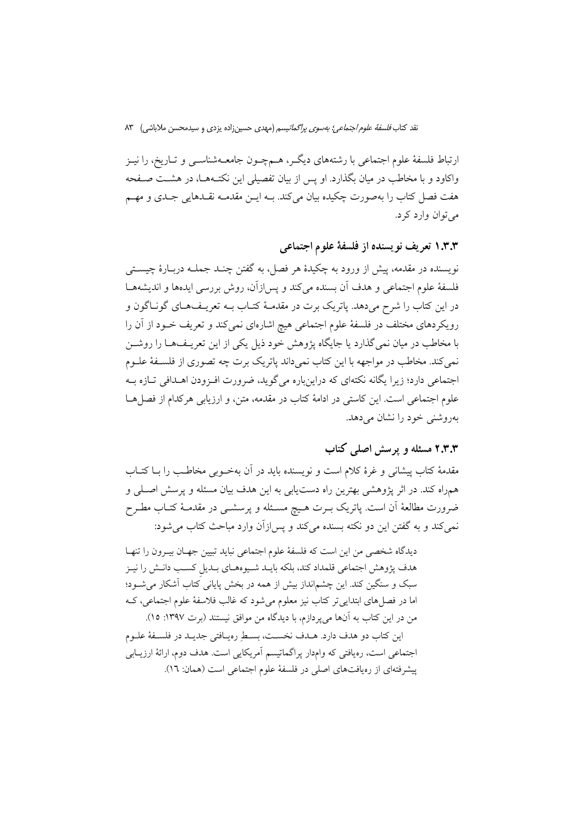نقد کتاب *فلسفة علوم اجتماعي؛ بەسوى پراگماتيسم* (مهدى حسين;زاده يزدى و سيدمحسن ملاباشي) ۸۳

ارتباط فلسفهٔ علوم اجتماعی با رشتههای دیگـر، هــمچــون جامعــهشناســی و تــاریخ، را نیــز واکاود و با مخاطب در میان بگذارد. او پس از بیان تفصیلی این نکتـههـا، در هشـت صـفحه هفت فصل کتاب را بهصورت چکیده بیان میکند. بــه ایــن مقدمــه نقــدهایی جــدی و مهــم مي توان وارد کړ د.

۱.۳.۳ تعریف نویسنده از فلسفهٔ علوم اجتماعی

نویسنده در مقدمه، پیش از ورود به چکیدهٔ هر فصل، به گفتن چنـد جملــه دربــارهٔ چیســتـی فلسفهٔ علوم اجتماعی و هدف آن بسنده میکند و پس(زآن، روش بررسی ایدهها و اندیشههـا در این کتاب را شرح میدهد. یاتریک برت در مقدمـهٔ کتـاب بــه تعریــفهـای گونــاگون و رویکردهای مختلف در فلسفهٔ علوم اجتماعی هیچ اشارهای نمیکند و تعریف خـود از آن را با مخاطب در میان نمیگذارد یا جایگاه پژوهش خود ذیل یکی از این تعریـفهـا را روشــن نمی کند. مخاطب در مواجهه با این کتاب نمی داند پاتریک برت چه تصوری از فلسـفهٔ علـوم اجتماعی دارد؛ زیرا یگانه نکتهای که دراین باره می گوید، ضرورت افیزودن اهیدافی تیازه به علوم اجتماعی است. این کاستی در ادامهٔ کتاب در مقدمه، متن، و ارزیابی هرکدام از فصل هـا بهروشني خود را نشان مي دهد.

### ۲.۳.۳ مسئله و پرسش اصلی کتاب

مقدمهٔ کتاب پیشانی و غرهٔ کلام است و نویسنده باید در آن بهخـوبی مخاطـب را بــا کتــاب همراه کند. در اثر پژوهشی بهترین راه دست یابی به این هدف بیان مسئله و پرسش اصلی و ضرورت مطالعهٔ أن است. پاتریک بـرت هـیچ مسـئله و پرسشــی در مقدمــهٔ کتــاب مطــرح نمي كند و به گفتن اين دو نكته بسنده مي كند و پس ازآن وارد مباحث كتاب مي شود:

ديدگاه شخصي من اين است كه فلسفهٔ علوم اجتماعي نبايد تبيين جهـان بيـرون را تنهـا هدف پژوهش اجتماعی قلمداد کند، بلکه بایـد شـیوههـای بـدیل کسـب دانـش را نیـز سبک و سنگین کند. این چشمانداز بیش از همه در بخش پایانی کتاب آشکار می شـود؛ اما در فصل های ابتدایی تر کتاب نیز معلوم میشود که غالب فلاسفهٔ علوم اجتماعی، ک من در این کتاب به آنها می پردازم، با دیدگاه من موافق نیستند (برت ۱۳۹۷: ۱۵).

این کتاب دو هدف دارد. هـدف نخسـت، بسـط ِرهیـافتی جدیـد در فلسـفهٔ علـوم اجتماعی است، رەیافتی که وامدار پراگماتیسم آمریکایی است. هدف دوم، ارائهٔ ارزیـابی پیشرفتهای از رەپافتهای اصلی در فلسفهٔ علوم اجتماعی است (همان: ١٦).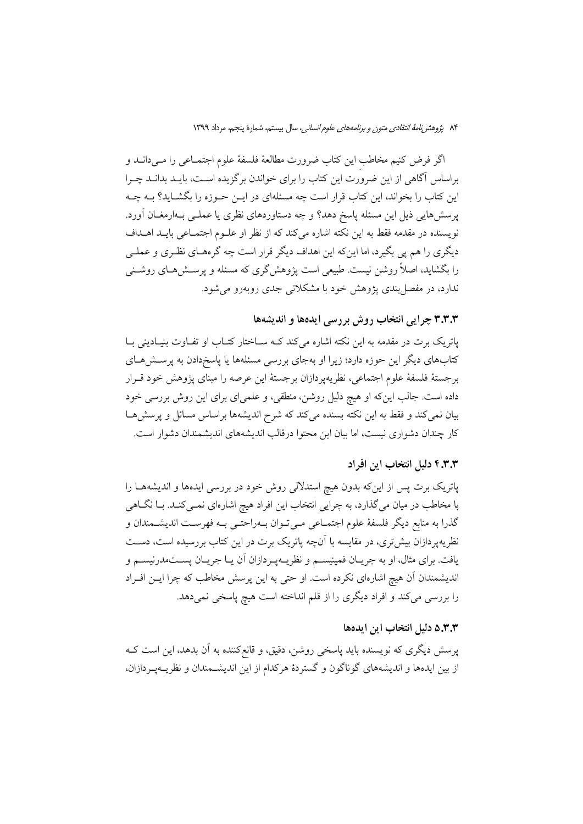اگر فرض كنيم مخاطب اين كتاب ضرورت مطالعهٔ فلسفهٔ علوم اجتمـاعي را مـيدانــد و براساس آگاهی از این ضرورت این کتاب را برای خواندن برگزیده است، بایــد بدانــد چــرا این کتاب را بخواند، این کتاب قرار است چه مسئلهای در ایــن حــوزه را بگشــاید؟ بــه چــه یرسش هایی ذیل این مسئله پاسخ دهد؟ و چه دستاوردهای نظری یا عملـی بـهارمغــان آورد. نویسنده در مقدمه فقط به این نکته اشاره میکند که از نظر او علـوم اجتمـاعی بایـد اهـداف دیگری را هم پی بگیرد، اما این که این اهداف دیگر قرار است چه گرمهـای نظـری و عملـی را بگشاید، اصلاً روشن نیست. طبیعی است پژوهش گری که مسئله و پرسـش۵هـای روشــنی .<br>ندارد، در مفصل بندی یژوهش خود با مشکلاتی جدی روبهرو می شود.

### ۳.۳.۳ چرایی انتخاب روش بررسی ایدهها و اندیشهها

پاتریک برت در مقدمه به این نکته اشاره میکند کـه سـاختار کتـاب او تفـاوت بنیـادینی بـا کتابهای دیگر این حوزه دارد؛ زیرا او بهجای بررسی مسئلهها یا پاسخدادن به پرستشهای برجستهٔ فلسفهٔ علوم اجتماعی، نظریهپردازان برجستهٔ این عرصه را مبنای پژوهش خود قـرار داده است. جالب اینکه او هیچ دلیل روشن، منطقی، و علمیای برای این روش بررسی خود بیان نمی کند و فقط به این نکته بسنده می کند که شرح اندیشهها براساس مسائل و پرسشها کار چندان دشواری نیست، اما بیان این محتوا درقالب اندیشههای اندیشمندان دشوار است.

#### ۴.۳.۳ دلیل انتخاب این افراد

پاتریک برت پس از اینکه بدون هیچ استدلالی روش خود در بررسی ایدهها و اندیشههـا را با مخاطب در میان میگذارد، به چرایی انتخاب این افراد هیچ اشارهای نمــیکنــد. بــا نگــاهـی گذرا به منابع دیگر فلسفهٔ علوم اجتمـاعی مـیتـوان بـهراحتـی بـه فهرسـت اندیشـمندان و نظریه پردازان بیش تری، در مقایسه با آنچه پاتریک برت در این کتاب بررسیده است، دسـت یافت. برای مثال، او به جریــان فمینیســم و نظریــهپــردازان آن یــا جریــان پســتمدرنیســم و اندیشمندان آن هیچ اشارهای نکرده است. او حتی به این پرسش مخاطب که چرا ایــن افــراد را بررسی میکند و افراد دیگری را از قلم انداخته است هیچ پاسخی نمیدهد.

### ۵.۳.۳ دلیل انتخاب این ایدهها

پرسش دیگری که نویسنده باید پاسخی روشن، دقیق، و قانع کننده به آن بدهد، این است ک از بین ایدهها و اندیشههای گوناگون و گستردهٔ هرکدام از این اندیشـمندان و نظریــهیــردازان،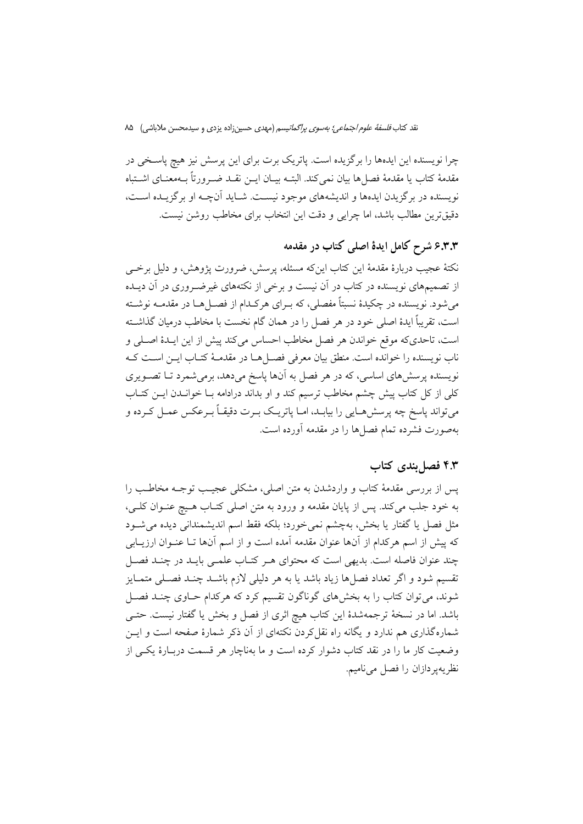نقد کتاب *فلسفة علوم اجتماعي؛ بەسوى پراگماتيسم* (مهدى حسين;زاده يزدى و سيدمحسن ملاباشي) ۸۵

چرا نویسنده این ایدهها را برگزیده است. پاتریک برت برای این پرسش نیز هیچ پاسـخی در مقدمهٔ کتاب یا مقدمهٔ فصل۱ها بیان نمیکند. البتــه بیــان ایــن نقــد ضــرورتاً بــهمعنــای اشــتباه نویسنده در برگزیدن ایدهها و اندیشههای موجود نیست. شـاید آنچـه او برگزیـده اسـت، دقیقترین مطالب باشد، اما چرایی و دقت این انتخاب برای مخاطب روشن نیست.

# ۶.۳.۳ شرح کامل ایدهٔ اصلی کتاب در مقدمه

نکتهٔ عجیب دربارهٔ مقدمهٔ این کتاب اینکه مسئله، پرسش، ضرورت پژوهش، و دلیل برخــی از تصمیمهای نویسنده در کتاب در آن نیست و برخی از نکتههای غیرضـروری در آن دیــده می شود. نویسنده در چکیدهٔ نسبتاً مفصلی، که بـرای هرکـدام از فصــل هــا در مقدمــه نوشــته است، تقریباً ایدهٔ اصلی خود در هر فصل را در همان گام نخست با مخاطب درمیان گذاشته است، تاحديكه موقع خواندن هر فصل مخاطب احساس مي كند پيش از اين ايـدۀ اصـلي و ناب نویسنده را خوانده است. منطق بیان معرفی فصــلهــا در مقدمــهٔ کتــاب ایــن اســت کــه نویسنده پرسشهای اساسی، که در هر فصل به آنها پاسخ میدهد، برمیشمرد تـا تصـویری کلی از کل کتاب پیش چشم مخاطب ترسیم کند و او بداند درادامه بـا خوانــدن ایــن کتــاب مي تواند ياسخ چه پرسشهـايي را بيابـد، امــا ياتريــک بــرت دقيقــاً بــرعکس عمــل کــرده و بهصورت فشرده تمام فصلها را در مقدمه آورده است.

### ۴.۳ فصا بندی کتاب

پس از بررسی مقدمهٔ کتاب و واردشدن به متن اصلی، مشکلی عجیب توجـه مخاطـب را به خود جلب مي كند. پس از پايان مقدمه و ورود به متن اصلي كتـاب هـيچ عنـوان كلـي، مثل فصل یا گفتار یا بخش، بهچشم نمی خورد؛ بلکه فقط اسم اندیشمندانی دیده می شــود که پیش از اسم هرکدام از آنها عنوان مقدمه آمده است و از اسم آنها تـا عنـوان ارزیــابی چند عنوان فاصله است. بدیهی است که محتوای هر کتـاب علمـی بایـد در چنـد فصـل تقسیم شود و اگر تعداد فصلها زیاد باشد یا به هر دلیلی لازم باشــد چنــد فصــلی متمــایز شوند، میتوان کتاب را به بخشهای گوناگون تقسیم کرد که هرکدام حـاوی چنـد فصـل باشد. اما در نسخهٔ ترجمهشدهٔ این کتاب هیچ اثری از فصل و بخش یا گفتار نیست. حتـی شمارهگذاری هم ندارد و یگانه راه نقل کردن نکتهای از آن ذکر شمارهٔ صفحه است و ایــن وضعیت کار ما را در نقد کتاب دشوار کرده است و ما بهناچار هر قسمت دربـارهٔ یکـی از نظر يهير دازان را فصل مي ناميم.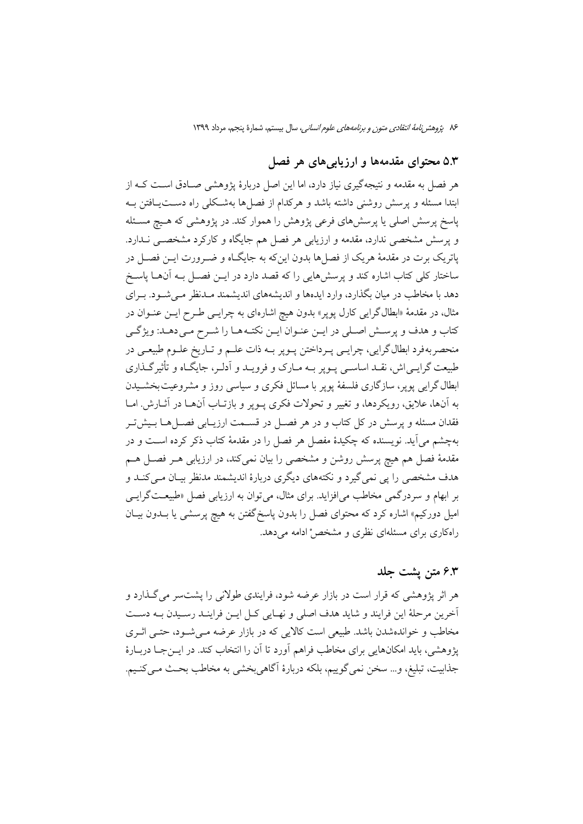## ۵.۳ محتوای مقدمهها و ارزیابیهای هر فصل

هر فصل به مقدمه و نتیجهگیری نیاز دارد، اما این اصل دربارهٔ پژوهشی صـادق اسـت کــه از ابتدا مسئله و پرسش روشنی داشته باشد و هرکدام از فصلها بهشکلی راه دستیافتن بـه یاسخ پرسش اصلی یا پرسشهای فرعی پژوهش را هموار کند. در پژوهشی که هـیچ مسـئله و پرسش مشخصی ندارد، مقدمه و ارزیابی هر فصل هم جایگاه و کارکرد مشخصــی نــدارد. یاتریک برت در مقدمهٔ هریک از فصلها بدون اینکه به جایگـاه و ضـرورت ایــن فصــل در ساختار کلی کتاب اشاره کند و پرسشهایی را که قصد دارد در ایــن فصــل بــه آنهــا پاســخ دهد با مخاطب در میان بگذارد، وارد ایدهها و اندیشههای اندیشمند مـدنظر مـی شـود. بـرای مثال، در مقدمهٔ «ابطال گرایی کارل پوپر» بدون هیچ اشارهای به چرایــی طــرح ایــن عنــوان در كتاب و هدف و پرسش اصلي در ايـن عنـوان ايـن نكتـههـا را شـرح مـي دهـد: ويژگـي منحصر به فرد ابطال گرايي، چرايـي پـرداختن پـوير بــه ذات علــم و تــاريخ علــوم طبيعــي در طبیعت گرایـی|ش، نقـد اساسـی پــوپر بــه مــارک و فرویــد و اَدلــر، جایگــاه و تأثیرگــذاری ابطال گرایی پوپر، سازگاری فلسفهٔ پوپر با مسائل فکری و سیاسی روز و مشروعیت بخشـیدن به آنها، علایق، رویکردها، و تغییر و تحولات فکری پــوپر و بازتــاب آنهــا در آثــارش. امــا فقدان مسئله و پرسش در کل کتاب و در هر فصـل در قســمت ارزیــابی فصــلهــا بــیش5ــر بهچشم می آید. نویسنده که چکیدهٔ مفصل هر فصل را در مقدمهٔ کتاب ذکر کرده اسـت و در مقدمهٔ فصل هم هیچ پرسش روشن و مشخصی را بیان نمیکند، در ارزیابی هـر فصـل هـم هدف مشخصی را پی نمی گیرد و نکتههای دیگری دربارهٔ اندیشمند مدنظر بیـان مـی کنــد و بر ابهام و سردرگمی مخاطب می|فزاید. برای مثال، می توان به ارزیابی فصل «طبیعـتگرایــی امیل دورکیم» اشاره کرد که محتوای فصل را بدون پاسخگفتن به هیچ پرسشی یا بـدون بیـان راهکاری برای مسئلهای نظری و مشخص ٔادامه می دهد.

### ۶.۳ متن پشت جلد

هر اثر پژوهشی که قرار است در بازار عرضه شود، فرایندی طولانی را پشتسر می گـذارد و أخرين مرحلهٔ اين فرايند و شايد هدف اصلي و نهـايي كـل ايـن فراينـد رسـيدن بـه دسـت مخاطب و خواندهشدن باشد. طبیعی است کالایی که در بازار عرضه مـی شـود، حتـی اثـری يژوهشي، بايد امكانهايي براي مخاطب فراهم أورد تا أن را انتخاب كند. در ايــنجــا دربــارهٔ جذابيت، تبليغ، و… سخن نمي گوييم، بلكه دربارهٔ أگاهي بخشي به مخاطب بحـث مـي كنـيم.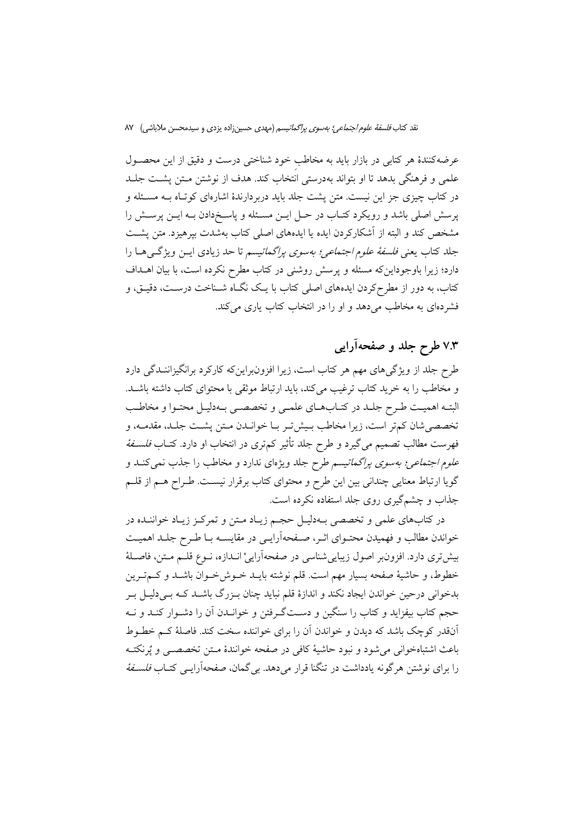عرضه کنندهٔ هر کتابی در بازار باید به مخاطب خود شناختی درست و دقیق از این محصـول علمی و فرهنگی بدهد تا او بتواند بهدرستی انتخاب کند. هدف از نوشتن مـتن یشـت جلـد در کتاب چیزی جز این نیست. متن پشت جلد باید دربردارندهٔ اشارهای کوتاه بـه مسـئله و پرسش اصلی باشد و رویکرد کتـاب در حـل ایــن مسـئله و پاسـخدادن بــه ایــن پرســش را مشخص کند و البته از آشکارکردن ایده یا ایدههای اصلی کتاب بهشدت بیرهیزد. متن پشـت جلد کتاب یعنی *فلسفهٔ علوم اجتماعی؛ بهسوی پراگماتیسم* تا حد زیادی ایــن ویژگــی هــا را دارد؛ زیرا باوجوداینکه مسئله و پرسش روشنی در کتاب مطرح نکرده است، با بیان اهــداف کتاب، به دور از مطرحکردن ایدههای اصلی کتاب با یـک نگــاه شــناخت درســت، دقیــق، و فشردهای به مخاطب میدهد و او را در انتخاب کتاب یاری می کند.

## ۷.۳ طرح جلد و صفحهآرایی

طرح جلد از ویژگی های مهم هر کتاب است، زیرا افزونبراین که کارکرد برانگیزاننـدگی دارد و مخاطب را به خرید کتاب ترغیب میکند، باید ارتباط موثقی با محتوای کتاب داشته باشـد. البتـه اهميـت طـرح جلـد در كتـابهـاي علمـي و تخصصـي بـهدليـل محتـوا و مخاطـب تخصصي شان كمتر است، زيرا مخاطب بـيش تـر بــا خوانــدن مــتن يشــت جلــد، مقدمــه، و فهرست مطالب تصمیم میگیرد و طرح جلد تأثیر کمتری در انتخاب او دارد. کتــاب *فلســفهٔ* عل*وم اجتماعی؛ بهسوی پراگماتیسم طرح جلد ویژهای ندارد و مخاطب را جذب نمی کنـد و* گویا ارتباط معنایی چندانی بین این طرح و محتوای کتاب برقرار نیسـت. طـراح هــم از قلــم جذاب و چشمگیری روی جلد استفاده نکرده است.

در کتابهای علمی و تخصصی بـهدلیـل حجـم زیـاد مـتن و تمرکـز زیـاد خواننـده در خواندن مطالب و فهمیدن محتـوای اثـر، صـفحهآرایـی در مقایســه بـا طـرح جلـد اهمیـت بیش تری دارد. افزونبر اصول زیبایی شناسی در صفحهآراییْ انـدازه، نــوع قلــم مــتن، فاصــلهٔ خطوط، و حاشيهٔ صفحه بسيار مهم است. قلم نوشته بايــد خــوشخــوان باشــد و كــمتــرين بدخوانی درحین خواندن ایجاد نکند و اندازهٔ قلم نباید چنان بـزرگ باشــد کــه بــی دلیــل بــر حجم کتاب بیفزاید و کتاب را سنگین و دسـتگـرفتن و خوانــدن آن را دشــوار کنــد و نــه آنقدر کوچک باشد که دیدن و خواندن آن را برای خواننده سخت کند. فاصلهٔ کـم خطـوط باعث اشتباهخوانی می شود و نبود حاشیهٔ کافی در صفحه خوانندهٔ مـتـن تخصصــ و یُرنکتــه را برای نوشتن هر گونه یادداشت در تنگنا قرار می دهد. بی گمان، صفحهآرایـی کتـاب *فلسـفهٔ*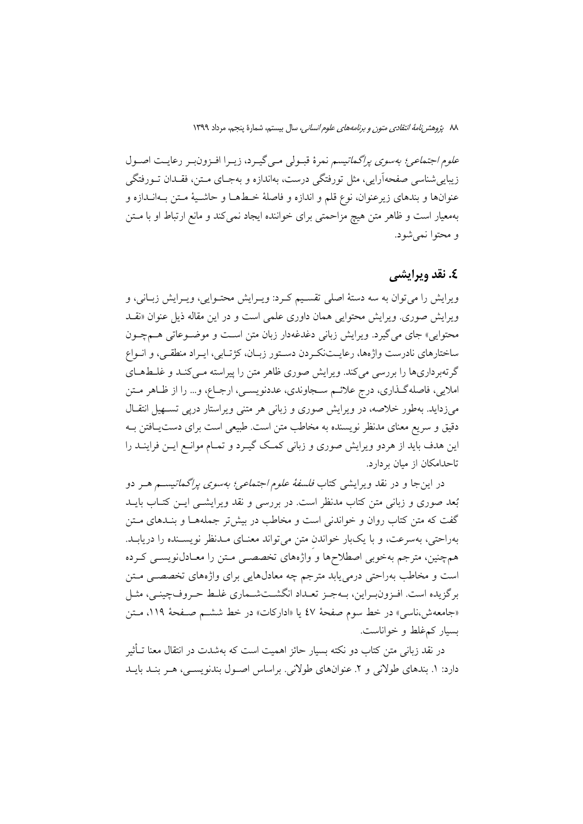علوم اجتما*عي؛ بهسوى پراگماتيسم* نمرهٔ قبـولى مـى گيـرد، زيـرا افـزونبـر رعايـت اصـول زیبایی شناسی صفحهآرایی، مثل تورفتگی درست، بهاندازه و بهجـای مــتن، فقــدان تــورفتگی عنوانها و بندهاي زيرعنوان، نوع قلم و اندازه و فاصلهٔ خـطهـا و حاشـيهٔ مـتن بـهانــدازه و بهمعیار است و ظاهر متن هیچ مزاحمتی برای خواننده ایجاد نمی کند و مانع ارتباط او با متن و محتوا نمي شود.

### **٤. نقد وبرایشی**

ویرایش را می توان به سه دستهٔ اصلی تقسیم کـرد: ویـرایش محتـوایی، ویـرایش زبـانی، و ویرایش صوری. ویرایش محتوایی همان داوری علمی است و در این مقاله ذیل عنوان «نقـد محتوایی» جای میگیرد. ویرایش زبانی دغدغهدار زبان متن است و موضوعاتی هـمچـون ساختارهای نادرست واژهها، رعایـتنکـردن دسـتور زبـان، کژتـابی، ایـراد منطقـی، و انـواع گرتهبرداریها را بررسی میکند. ویرایش صوری ظاهر متن را پیراسته مـیکنـد و غلـطهـای املايي، فاصله گـذاري، درج علائــم ســجاوندي، عددنويســي، ارجــاع، و… را از ظــاهر مــتن میزداید. بهطور خلاصه، در ویرایش صوری و زبانی هر متنی ویراستار درپی تسـهیل انتقـال دقیق و سریع معنای مدنظر نویسنده به مخاطب متن است. طبیعی است برای دست یافتن بـه این هدف باید از هردو ویرایش صوری و زبانی کمک گیـرد و تمـام موانـع ایــن فراینــد را تاحدامکان از مبان بر دارد.

در اینجا و در نقد ویرایش<sub>ی</sub> کتاب *فلسفهٔ علوم اجتماعی؛ بهسوی پراگماتیس*م هــر دو بُعد صوری و زبانی متن کتاب مدنظر است. در بررسی و نقد ویرایشــی ایــن کتــاب بایــد گفت که متن کتاب روان و خواندنی است و مخاطب در بیش تر جملههـا و بنـدهای مـتن بهراحتی، بهسرعت، و با یکبار خواندن متن می تواند معنـای مـدنظر نویسـنده را دریابـد. همچنین، مترجم بهخوبی اصطلاحها و واژههای تخصصبی مـتن را معـادل(نویســی کـرده است و مخاطب بهراحتی درمی یابد مترجم چه معادلهایی برای واژههای تخصصـی مـتن بر گزیده است. افـزون بـراین، بــهجـز تعــداد انگشــتشــماری غلــط حـروف چینــی، مثــل «جامعهش،ناسبي» در خط سوم صفحهٔ ٤٧ یا «ادارکات» در خط ششــم صــفحهٔ ١١٩، مــتن بسیار کم،غلط و خواناست.

در نقد زبانی متن کتاب دو نکته بسیار حائز اهمیت است که بهشدت در انتقال معنا تــأثیر دارد: ۱. بندهای طولانی و ۲. عنوانهای طولانی. براساس اصـول بندنویسـی، هـر بنـد بایـد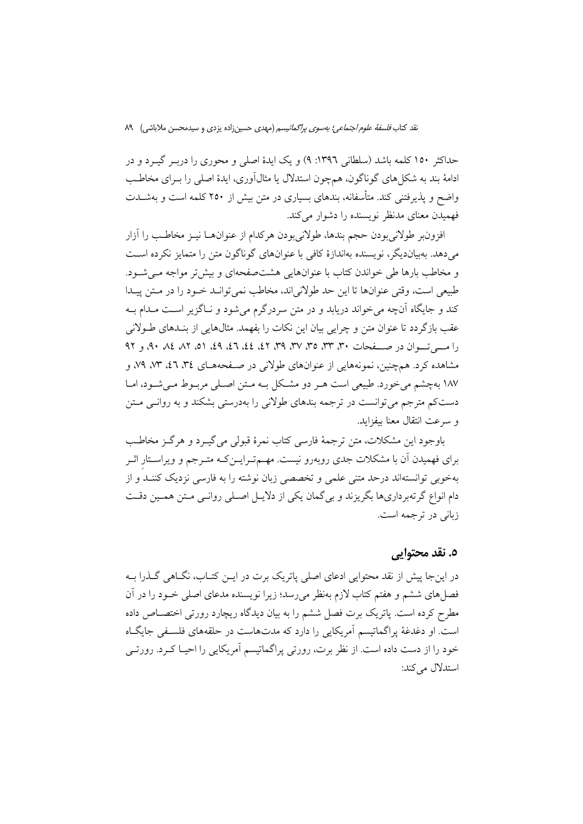حداکثر ١٥٠ کلمه باشد (سلطاني ١٣٩٦: ٩) و يک ايدهٔ اصلي و محوري را دربـر گيــرد و در ادامهٔ بند به شکل های گوناگون، همچون استدلال یا مثالآوری، ایدهٔ اصلی را بـرای مخاطـب واضح و پذیرفتنی کند. متأسفانه، بندهای بسیاری در متن بیش از ۲۵۰ کلمه است و بهشــدت فهمیدن معنای مدنظر نویسنده را دشوار می کند.

افزون بر طولاني بودن حجم بندها، طولاني بودن هركدام از عنوانهــا نيــز مخاطــب را آزار می دهد. بهبیاندیگر، نویسنده بهاندازهٔ کافی با عنوانهای گوناگون متن را متمایز نکرده است و مخاطب بارها طی خواندن کتاب با عنوانهایی هشت صفحهای و بیش تر مواجه مـی شـود. طبیعی است، وقتی عنوانها تا این حد طولانیاند، مخاطب نمی توانـد خـود را در مـتن پیـدا کند و جایگاه آنچه می خواند دریابد و در متن سردرگرم می شود و نـاگزیر اسـت مـدام بـه عقب بازگردد تا عنوان متن و چراپی بیان این نکات را بفهمد. مثالهایی از بنـدهای طـولانی را مسی تسوان در صنفحات ۳۰، ۳۳، ۳۵، ۳۷، ۳۹، ۴۲، ٤٤، ۶۹، ۵۱، ۸۲، ۵۸، ۹۰، و ۹۲ مشاهده کرد. همچنین، نمونههایی از عنوانهای طولانی در صـفحههـای ۳٤، ۳٪، ۷۳، ۷۹، و ۱۸۷ بهچشم می خورد. طبیعی است هـر دو مشـکل بـه مـتن اصـلی مربـوط مـی شـود، امـا دستکم مترجم می توانست در ترجمه بندهای طولانی را بهدرستی بشکند و به روانـی مــتن و سرعت انتقال معنا بيفزايد.

باوجود اين مشكلات، متن ترجمهٔ فارسي كتاب نمرهٔ قبولي مي گيـرد و هرگـز مخاطـب برای فهمیدن آن با مشکلات جدی روبهرو نیست. مهـمتـرایــنکـه متـرجم و ویراسـتار اثـر بهخوبی توانستهاند درحد متنی علمی و تخصصی زبان نوشته را به فارسی نزدیک کننــد و از دام انواع گرتهبرداریها بگریزند و بی گمان یکی از دلایـل اصـلی روانـی مـتن همـین دقـت زبانی در ترجمه است.

### ٥. نقد محتوایی

در اینجا پیش از نقد محتوایی ادعای اصلی پاتریک برت در ایــن کتــاب، نگــاهی گــذرا بــه فصل های ششم و هفتم کتاب لازم بهنظر می رسد؛ زیرا نویسنده مدعای اصلی خـود را در آن مطرح کرده است. پاتریک برت فصل ششم را به بیان دیدگاه ریچارد رورتی اختصـاص داده است. او دغدغهٔ پراگماتیسم آمریکایی را دارد که مدتهاست در حلقههای فلسـفی جایگـاه خود را از دست داده است. از نظر برت، رورتی پراگماتیسم آمریکایی را احیـا کـرد. رورتـی استدلال مرکند: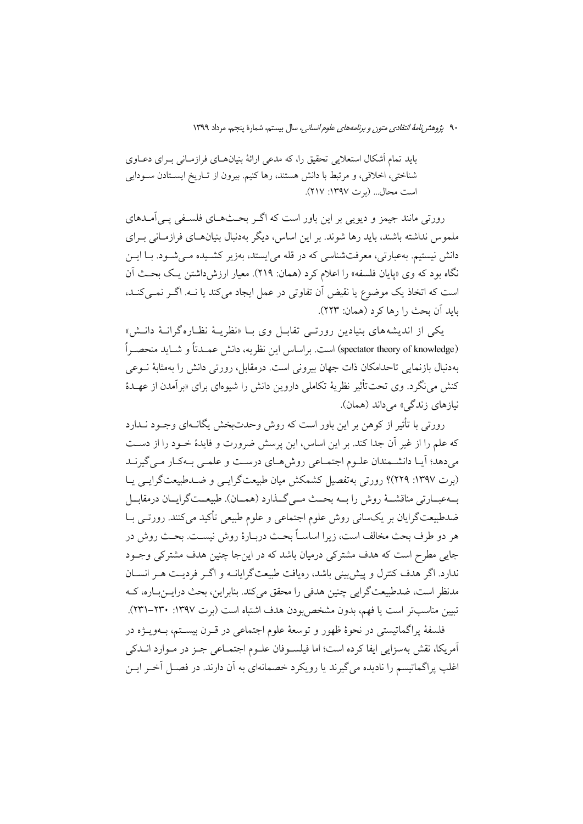باید تمام اَشکال استعلایی تحقیق را، که مدعی ارائهٔ بنیانهـای فرازمـانی بـرای دعــاوی شناختی، اخلاقی، و مرتبط با دانش هستند، رها کنیم. بیرون از تـاریخ ایسـتادن سـودایی است محال... (بوت ١٣٩٧: ٢١٧).

رورتی مانند جیمز و دیویی بر این باور است که اگـر بحـثهــای فلســفی یــی|مــدهای ملموس نداشته باشند، باید رها شوند. بر این اساس، دیگر بهدنبال بنیانهـای فرازمـانی بـرای دانش نیستیم. بهعبارتی، معرفتشناسی که در قله می!یستد، بهزیر کشـیده مـی شـود. بـا ایــن نگاه بود که وی «پایان فلسفه» را اعلام کرد (همان: ۲۱۹). معیار ارزش داشتن یک بحث آن است که اتخاذ یک موضوع یا نقیض آن تفاوتی در عمل ایجاد میکند یا نـه. اگـر نمـیکنـد، بايد آن بحث را رها كرد (همان: ٢٢٣).

یکی از اندیشههای بنیادین رورتبی تقابـل وی بــا «نظریــهٔ نظــارهگرانــهٔ دانــش» (spectator theory of knowledge) است. براساس این نظریه، دانش عمـدتاً و شـاید منحصـراً بهدنبال بازنمایی تاحدامکان ذات جهان بیرونی است. درمقابل، رورتی دانش را بهمثابهٔ نــوعی کنش می نگرد. وی تحت تأثیر نظریهٔ تکاملی داروین دانش را شیوهای برای «برآمدن از عهـدهٔ نبازهای زندگی» مے داند (همان).

رورتی با تأثیر از کوهن بر این باور است که روش وحدتبخش یگانـهای وجـود نـدارد كه علم را از غير أن جدا كند. بر اين اساس، اين پرسش ضرورت و فايدهٔ خــود را از دسـت می دهد؛ آیـا دانشـمندان علـوم اجتمـاعی روش هـای درسـت و علمـی بـهکـار مـی گیرنـد (بوت ١٣٩٧: ٢٢٩)؟ رورتي به تفصيل كشمكش ميان طبيعت گرايسي و ضـلـطبيعت گرايسي يـا بهءجارتي مناقشــهٔ روش را بــه بحــث مــي گــذارد (همــان). طبيعــتگرايــان درمقابــل ضدطبیعتگرایان بر یکسانی روش علوم اجتماعی و علوم طبیعی تأکید میکنند. رورتــی بــا هر دو طرف بحث مخالف است، زیرا اساســاً بحـث دربــارهٔ روش نیســت. بحــث روش در جایی مطرح است که هدف مشترکی درمیان باشد که در اینجا چنین هدف مشترکی وجـود ندارد. اگر هدف کنترل و پیش بینی باشد، رهیافت طبیعتگرایانــه و اگــر فردیــت هــر انســان مدنظر است، ضدطبیعتگرایی چنین هدفی را محقق میکند. بنابراین، بحث درایــن بــاره، کــه تبيين مناسبتر است يا فهم، بدون مشخص بودن هدف اشتباه است (برت ١٣٩٧: ٢٣٠-٢٣١).

فلسفهٔ پراگماتیستی در نحوهٔ ظهور و توسعهٔ علوم اجتماعی در قـرن بیسـتم، بـهویـژه در آمريكا، نقش بهسزايي ايفا كرده است؛ اما فيلسـوفان علـوم اجتمـاعي جـز در مـوارد انــدكي اغلب پراگماتیسم را نادیده می گیرند یا رویکرد خصمانهای به آن دارند. در فصـل آخـر ایــن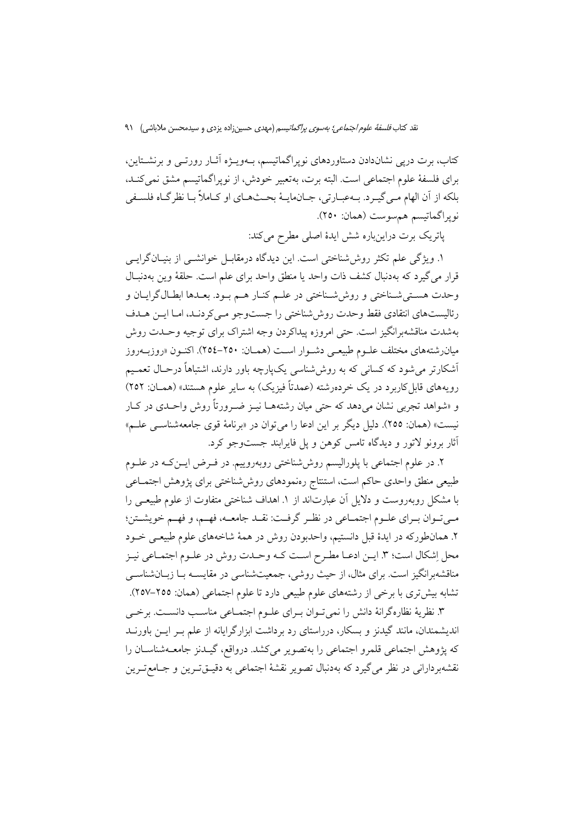کتاب، برت درپی نشاندادن دستاوردهای نوپراگماتیسم، بـهویــژه آثــار رورتــی و برنشــتاین، برای فلسفهٔ علوم اجتماعی است. البته برت، بهتعبیر خودش، از نوپراگماتیسم مشق نمی کنـد، بلکه از آن الهام مـي گيـرد. بــهعبـارتي، جــانهايــهٔ بحــثهــاي او كــاملاً بــا نظرگـاه فلســفي نوپراگماتيسم هم سوست (همان: ٢٥٠).

پاتریک برت دراینباره شش ایدهٔ اصلی مطرح میکند:

١. ويژگي علم تكثر روش شناختي است. اين ديدگاه درمقابـل خوانشــي از بنيـانگرايــي قرار می گیرد که بهدنبال کشف ذات واحد یا منطق واحد برای علم است. حلقهٔ وین بهدنبـال وحدت هستي شـناختي و روش شـناختي در علـم كنـار هـم بـود. بعـدها ابطـال گرايـان و رئالیستهای انتقادی فقط وحدت روش شناختی را جستوجو مبی کردنـد، امـا ایــن هــدف بهشدت مناقشهبرانگیز است. حتی امروزه پیداکردن وجه اشتراک برای توجیه وحـدت روش میانرشتههای مختلف علـوم طبیعـی دشـوار اسـت (همـان: ۲۵۰–۲۵٤). اکنـون «روزبــهروز آشکارتر می شود که کسان<sub>ی</sub> که به روش شناسی یکپارچه باور دارند، اشتباهاً درحـال تعمـیم رویههای قابل کاربرد در یک خردهرشته (عمدتاً فیزیک) به سایر علوم هستند» (همــان: ۲٥۲) و «شواهد تجربی نشان میدهد که حتی میان رشتههــا نیــز ضــرورتاً روش واحــدی در کــار نیست» (همان: ٢٥٥). دلیل دیگر بر این ادعا را می توان در «برنامهٔ قوی جامعهشناســی علــم» أثار برونو لاتور و دیدگاه تامس کوهن و پل فایرابند جستوجو کرد.

۲. در علوم اجتماعی با پلورالیسم روش شناختی روبهروییم. در فـرض ایــنِ کــه در علــوم طبيعي منطق واحدى حاكم است، استنتاج رەنمودهاى روششناختى براى پژوهش اجتمـاعى با مشکل روبهروست و دلایل آن عبارتاند از ۱. اهداف شناختی متفاوت از علوم طبیعـی را مبي تبوان بيراي عليوم اجتمياعي در نظير گرفت: نقيد جامعيه، فهيم، و فهيم خويشتن؛ ۲. همانطورکه در ایدهٔ قبل دانستیم، واحدبودن روش در همهٔ شاخههای علوم طبیعـی خــود محل اِشکال است؛ ۳. ایــن ادعــا مطـرح اســت کــه وحــدت روش در علــوم اجتمــاعي نيــز مناقشهبرانگیز است. برای مثال، از حیث روشی، جمعیتشناسی در مقایســه بــا زبــانشناســی تشابه بیش تری با برخی از رشتههای علوم طبیعی دارد تا علوم اجتماعی (همان: ٢٥٥–٢٥٧).

۳. نظریهٔ نظارهگرانهٔ دانش را نمی تـوان بـرای علـوم اجتمـاعی مناسـب دانسـت. برخـی اندیشمندان، مانند گیدنز و بسکار، درراستای رد برداشت ابزارگرایانه از علم بــر ایــن باورنــد كه يژوهش اجتماعي قلمرو اجتماعي را بهتصوير مي كشد. درواقع، گيــدنز جامعــهشناســان را نقشهبردارانی در نظر می گیرد که بهدنبال تصویر نقشهٔ اجتماعی به دقیــقتــرین و جــامعتــرین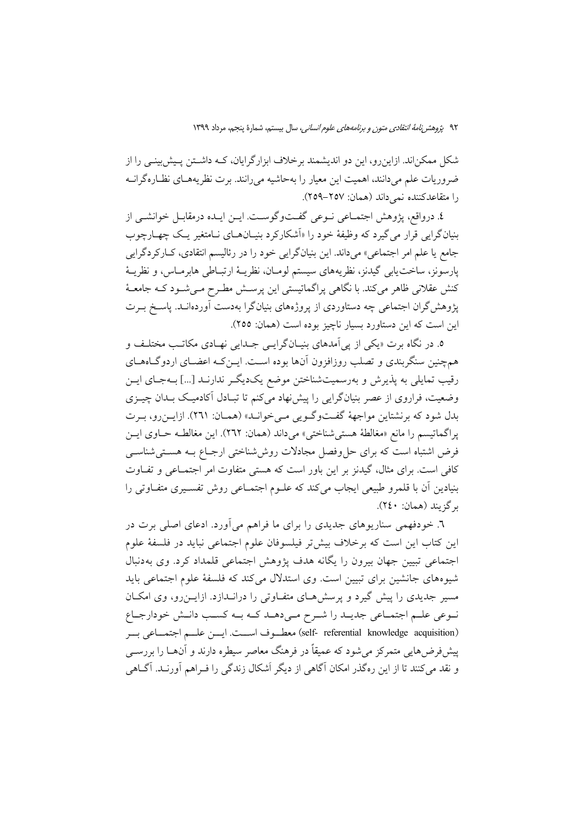شکل ممکناند. ازاین رو، این دو اندیشمند برخلاف ابزارگرایان، کـه داشـتن پـیش بینـی را از ضروریات علم میدانند، اهمیت این معیار را بهحاشیه میرانند. برت نظریههـای نظـارهگرانــه را متقاعدكننده نمي داند (همان: ٢٥٧–٢٥٩).

٤. درواقع، يژوهش اجتمــاعي نــوعي گفــتوگوســت. ايــن ايــده درمقابــل خوانشــي از بنیانگرایی قرار می گیرد که وظیفهٔ خود را «اَشکارکرد بنیـانهـای نـامتغیر یـک چهـارچوب جامع يا علم امر اجتماعي» مي داند. اين بنيانگرايي خود را در رئاليسم انتقادي، كـاركردگرايي يارسونز، ساخت يابي گيدنز، نظريههاي سيستم لومـان، نظريــهٔ ارتبــاطي هابرمــاس، و نظريــهٔ کنش عقلانی ظاهر میکند. با نگاهی پراگماتیستی این پرسـش مطـرح مـیشـود کـه جامعـهٔ پژوهش گران اجتماعی چه دستاوردی از پروژههای بنیانگرا بهدست آوردهانـد. پاسـخ بــرت این است که این دستاورد بسیار ناچیز بوده است (همان: ٢٥٥).

٥. در نگاه برت «يکي از يي آمدهاي بنيــانگرايــي جــدايي نهــادي مکاتــب مختلــف و همچنین سنگربندی و تصلب روزافزون آنها بوده اسـت. ایــنِ کــه اعضــای اردوگــاهــای رقیب تمایلی به پذیرش و بهرسمیتشناختن موضع یکدیگ ِ ندارنـد […] بــهجــای ایــن وضعیت، فراروی از عصر بنیانگرایی را پیش نهاد میکنم تا تبادل آکادمیک بـدان چیـزی بدل شود که برنشتاین مواجههٔ گفتوگویی میخوانـد» (همـان: ۲٦۱). ازایـنرو، بـرت يراگماتيسم را مانع «مغالطة هستي شناختي» مي داند (همان: ٢٦٢). اين مغالطـه حـاوي ايـن فرض اشتباه است که برای حل وفصل مجادلات روششناختی ارجـاع بـه هسـتیشناسـی کافی است. برای مثال، گیدنز بر این باور است که هستی متفاوت امر اجتمـاعی و تفـاوت بنیادین اّن با قلمرو طبیعی ایجاب میکند که علــوم اجتمــاعی روش تفســیری متفــاوتی را ىرگزېند (همان: ٢٤٠).

٦. خودفهمی سناریوهای جدیدی را برای ما فراهم میآورد. ادعای اصلی برت در این کتاب این است که برخلاف بیش تر فیلسوفان علوم اجتماعی نباید در فلسفهٔ علوم اجتماعی تبیین جهان بیرون را یگانه هدف پژوهش اجتماعی قلمداد کرد. وی بهدنبال شیوههای جانشین برای تبیین است. وی استدلال می کند که فلسفهٔ علوم اجتماعی باید مسیر جدیدی را پیش گیرد و پرسشهای متفاوتی را درانـدازد. ازایــن٫و، وی امکــان نوعی علم اجتماعی جدیـد را شـرح مـیدهـد کـه بـه کسـب دانـش خودارجـاع (self- referential knowledge acquisition) معطـوف اســت. ايــن علــم اجتمــاعي بــر پیشفر ض۵ایی متمرکز می شود که عمیقاً در فرهنگ معاصر سیطره دارند و آنهــا را بررســی و نقد می کنند تا از این رهگذر امکان آگاهی از دیگر اَشکال زندگی را فـراهم آورنـد. آگــاهی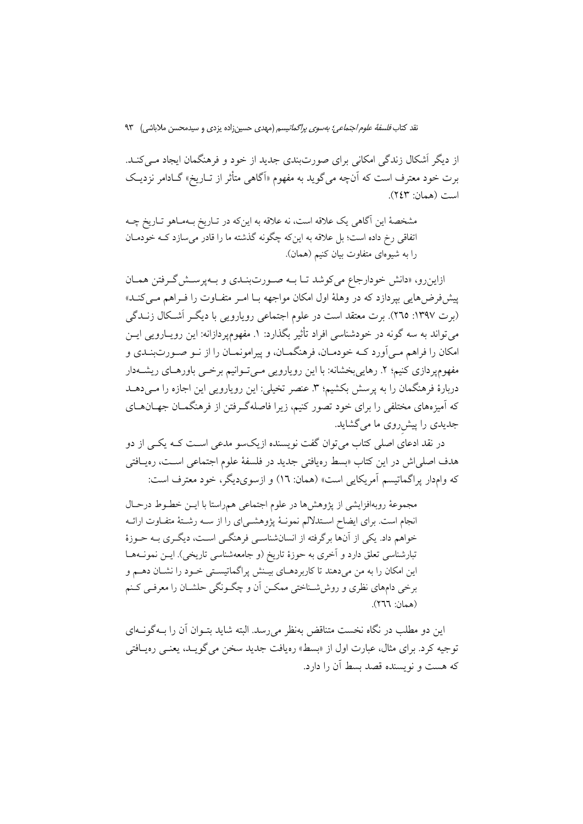نقد کتاب *فلسفهٔ علوم اجتماعی؛ بهسوی پراگماتیسم* (مهدی حسین;اده یزدی و سیدمحسن ملاباشی) ۹۳

از دیگر اَشکال زندگی امکانی برای صورتبندی جدید از خود و فرهنگمان ایجاد مـی کنــد. برت خود معترف است که آنچه می گوید به مفهوم «آگاهی متأثر از تــاریخ» گــادامر نزدیــک است (همان: ٢٤٣).

مشخصهٔ این آگاهی یک علاقه است، نه علاقه به اینکه در تـاریخ بـهمـاهو تـاریخ چـه اتفاقی رخ داده است؛ بل علاقه به اینکه چگونه گذشته ما را قادر می سازد کـه خودمـان را به شیوهای متفاوت بیان کنیم (همان).

ازاینرو، «دانش خودارجاع می کوشد تـا بـه صـورتبنـدی و بـهپرسـش گـرفتن همـان پیشفررضهایی بپردازد که در وهلهٔ اول امکان مواجهه بـا امـر متفـاوت را فـراهم مـیکنـد» (برت ۱۳۹۷: ۲۹۵). برت معتقد است در علوم اجتماعی رویارویی با دیگر اَشکال زنــدگی میتواند به سه گونه در خودشناسی افراد تأثیر بگذارد: ۱. مفهومپردازانه: این رویــارویی ایــن امکان را فراهم مـی]ورد کـه خودمـان، فرهنگمـان، و پیرامونمـان را از نــو صــورتبنــدي و مفهوم، دازی کنیم؛ ۲. رهایی بخشانه: با این رویارویی مبی تـوانیم برخـبی باورهـای ریشــهدار دربارهٔ فرهنگمان را به پرسش بکشیم؛ ۳. عنصر تخیلی: این رویارویی این اجازه را مـیدهــد که آمیزههای مختلفی را برای خود تصور کنیم، زیرا فاصلهگرفتن از فرهنگمـان جهـانهـای جدیدی را پیش روی ما می گشاید.

در نقد ادعای اصلی کتاب میتوان گفت نویسنده ازیکسو مدعی اسـت کـه یکـی از دو هدف اصلی اش در این کتاب «بسط رهیافتی جدید در فلسفهٔ علوم اجتماعی اسـت، رهیـافتی كه وامدار يراگماتيسم آمريكايي است» (همان: ١٦) و ازسوىديگر، خود معترف است:

مجموعهٔ روبهافزایشی از پژوهشها در علوم اجتماعی همراستا با ایــن خطــوط درحــال انجام است. برای ایضاح اسـتدلالم نمونـهٔ پژوهشـیای را از سـه رشـتهٔ متفـاوت ارائـه خواهم داد. یکی از آنها برگرفته از انسانشناسـی فرهنگـی اسـت، دیگـری بـه حــوزهٔ تبارشناسی تعلق دارد و آخری به حوزهٔ تاریخ (و جامعهشناسی تاریخی). ایــن نمونــههــا این امکان را به من میدهند تا کاربردهـای بیـنش پراگماتیسـتی خـود را نشـان دهـم و برخی دامهای نظری و روششاختی ممکـن آن و چگـونگی حلشـان را معرفـی کـنم (همان: ٢٦٦).

این دو مطلب در نگاه نخست متناقض بهنظر می رسد. البته شاید بتـوان آن را بــهگونــهای توجیه کرد. برای مثال، عبارت اول از «بسط» رهیافت جدید سخن می گویـد، یعنــی رهیــافتـی که هست و نویسنده قصد بسط آن را دارد.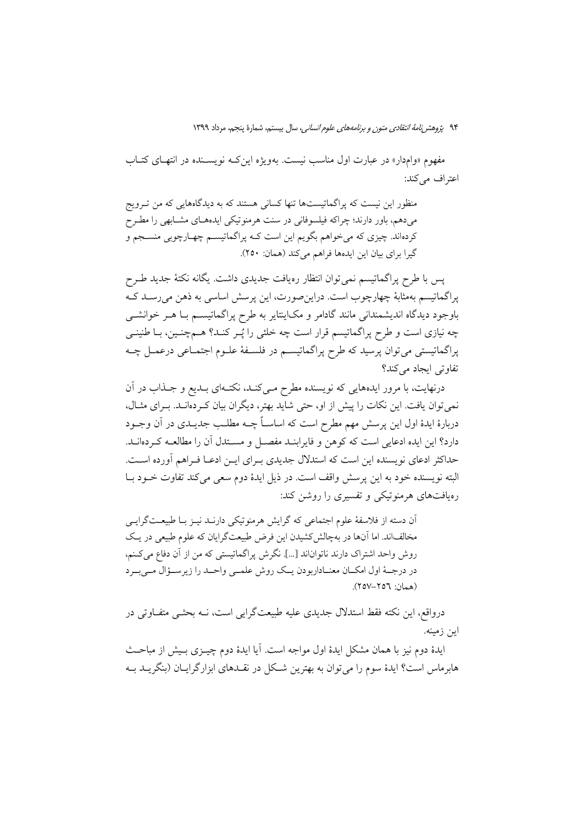مفهوم «وامدار» در عبارت اول مناسب نیست. بهویژه این کـه نویسـنده در انتهـای کتـاب اعتراف مي كند:

منظور این نیست که پراگماتیستها تنها کسانی هستند که به دیدگاههایی که من تـرویج میدهم، باور دارند؛ چراکه فیلسوفانی در سنت هرمنوتیکی ایدههـای مشـابهی را مطـرح کردهاند. چیزی که می خواهم بگویم این است کـه پراگماتیســم چهــارچوبی منســجم و گیرا برای بیان این ایدهها فراهم می کند (همان: ٢٥٠).

پس با طرح پراگماتیسم نمی توان انتظار رەیافت جدیدی داشت. یگانه نکتهٔ جدید طـرح پراگماتیسم بهمثابهٔ چهارچوب است. دراین صورت، این پرسش اساسی به ذهن میرسـد کـه باوجود دیدگاه اندیشمندانی مانند گادامر و مکاینتایر به طرح پراگماتیســم بــا هــر خوانشــی چه نیازی است و طرح پراگماتیسم قرار است چه خلئی را پُـر کنـد؟ هــمچنـین، بــا طنینــی پراگماتیستی میتوان پرسید که طرح پراگماتیسـم در فلسـفهٔ علـوم اجتمـاعی درعمـل چـه تفاوتي ايجاد مي كند؟

درنهایت، با مرور ایدههایی که نویسنده مطرح مـیکنـد، نکتـهای بـدیع و جـذاب در آن نمی توان یافت. این نکات را پیش از او، حتی شاید بهتر، دیگران بیان کـردهانـد. بـرای مثـال، دربارهٔ ایدهٔ اول این پرسش مهم مطرح است که اساســاً چــه مطلــب جدیــدی در آن وجــود دارد؟ این ایده ادعایی است که کوهن و فایرابنـد مفصـل و مســتدل آن را مطالعــه کــردهانــد. حداکثر ادعای نویسنده این است که استدلال جدیدی بـرای ایـن ادعـا فـراهم أورده اسـت. البته نویسنده خود به این پرسش واقف است. در ذیل ایدهٔ دوم سعی می کند تفاوت خــود بــا رهیافتهای هرمنوتیکی و تفسیری را روشن کند:

آن دسته از فلاسفهٔ علوم اجتماعی که گرایش هرمنوتیکی دارنـد نیـز بـا طبیعـتگرایـی مخالفاند. اما آنها در بهچالش کشیدن این فرض طبیعتگرایان که علوم طبیعی در یک روش واحد اشتراک دارند ناتواناند […]. نگرش پراگماتیستی که من از آن دفاع میکنم، در درجـهٔ اول امکـان معنـاداربودن يـک روش علمـي واحـد را زيرسـؤال مـيبـرد (همان: ٢٥٦–٢٥٧).

درواقع، این نکته فقط استدلال جدیدی علیه طبیعتگرایی است، نـه بحثـی متفــاوتی در اين زمينه.

ایدهٔ دوم نیز با همان مشکل ایدهٔ اول مواجه است. آیا ایدهٔ دوم چیــزی بـیش از مباحــث هابرماس است؟ ایدهٔ سوم را میٍتوان به بهترین شـکل در نقــدهای ابزارگرایــان (بنگریــد بــه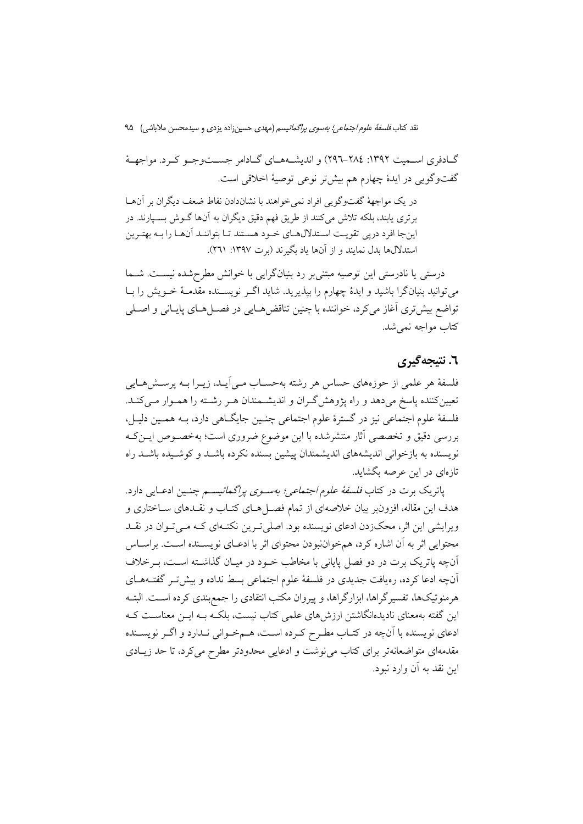نقد کتاب *فلسفة علوم اجتماعي؛ بەسوى پراگماتيسم* (مهدى حسين;زاده يزدى و سيدمحسن ملاباشي) ۹۵

گــادفري اســميت ١٣٩٢: ٢٨٤–٢٩٦) و انديشــههــاي گــادامر جســتوجــو كــرد. مواجهــهٔ گفتوگویی در ایدهٔ چهارم هم بیشتر نوعی توصیهٔ اخلاقی است.

در یک مواجههٔ گفتوگویی افراد نمی خواهند با نشاندادن نقاط ضعف دیگران بر آنهـا برتری یابند، بلکه تلاش میکنند از طریق فهم دقیق دیگران به آنها گـوش بسـپارند. در اینجا افرد درپی تقویت اسـتدلالهـای خـود هسـتند تـا بتواننـد آنهـا را بــه بهتـرین استدلالها بدل نمایند و از آنها یاد بگیرند (برت ۱۳۹۷: ۲٦۱).

درستی یا نادرستی این توصیه مبتنی بر رد بنیانگرایی با خوانش مطرحشده نیسـت. شــما می توانید بنیانگرا باشید و ایدهٔ چهارم را بپذیرید. شاید اگـر نویســنده مقدمــهٔ خــویش را بــا تواضع بيش ترى أغاز مى كرد، خواننده با چنين تناقض هـايى در فصـلهـاى پايـانى و اصـلى كتاب مواجه نمي شد.

## ٦. نتيجه گيري

فلسفهٔ هر علمی از حوزههای حساس هر رشته بهحسـاب مـی]یـد، زیــرا بــه پرســش۵حـایی تعیین کننده یاسخ می دهد و راه پژوهش گـران و اندیشـمندان هـر رشـته را همـوار مـی کنـد. فلسفهٔ علوم اجتماعی نیز در گسترهٔ علوم اجتماعی چنـین جایگـاهی دارد، بـه همـین دلیـل، بررسی دقیق و تخصصی آثار منتشرشده با این موضوع ضروری است؛ بهخصـوص ایـنکـه نویسنده به بازخوانی اندیشههای اندیشمندان پیشین بسنده نکرده باشـد و کوشـیده باشـد راه تازهای در این عرصه بگشاید.

پاتریک برت در کتاب *فلسفهٔ علوم اجتماعی؛ بهسوی پراگماتیسم* چنـین ادعـایی دارد. هدف این مقاله، افزونبر بیان خلاصهای از تمام فصـلهای کتـاب و نقـدهای سـاختاری و ویرایشی این اثر، محکزدن ادعای نویسنده بود. اصلی تـرین نکتـهای کـه مـیتوان در نقــد محتوایی اثر به آن اشاره کرد، همخواننبودن محتوای اثر با ادعـای نویســنده اســت. براســاس آنچه پاتریک برت در دو فصل پایانی با مخاطب خــود در میــان گذاشــته اســت، بــرخلاف آنچه ادعا کرده، رەیافت جدیدی در فلسفهٔ علوم اجتماعی بسط نداده و بیشتر گفتههـای هرمنوتیکها، تفسیرگراها، ابزارگراها، و پیروان مکتب انتقادی را جمع بندی کرده اسـت. البتـه این گفته بهمعنای نادیدهانگاشتن ارزش های علمی کتاب نیست، بلکـه بــه ایــن معناســت کــه ادعای نویسنده با آنچه در کتـاب مطـرح کـرده اسـت، هـمخـوانی نـدارد و اگـر نویســنده مقدمهای متواضعانهتر برای کتاب میiوشت و ادعایی محدودتر مطرح میکرد، تا حد زیــادی این نقد به آن وارد نبود.